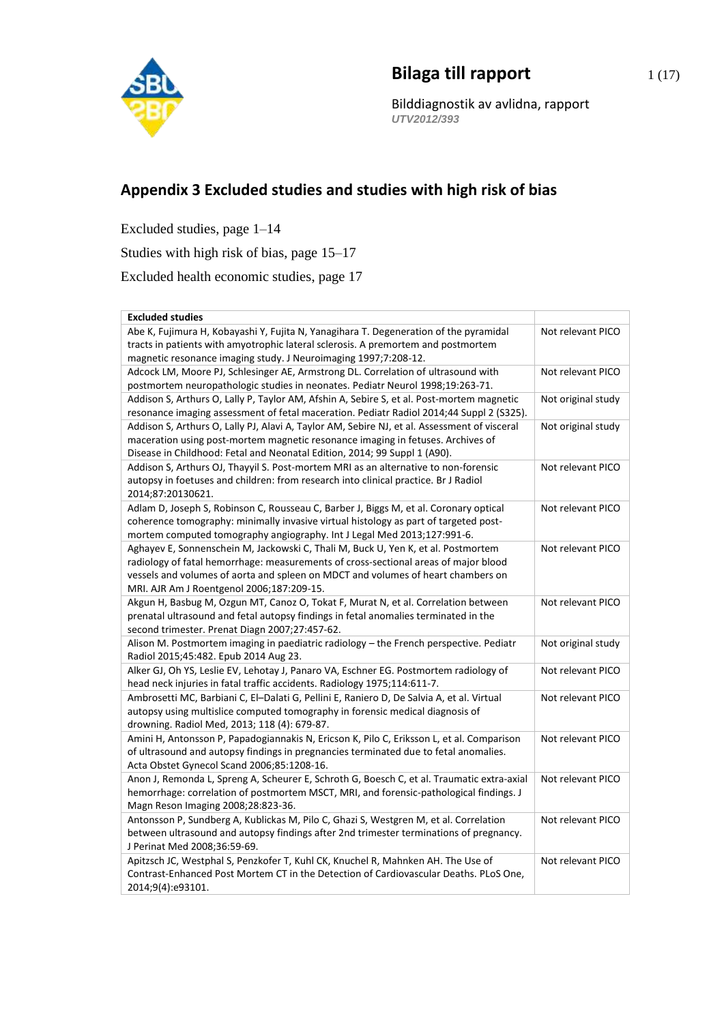

## **Bilaga till rapport** 1(17)

Bilddiagnostik av avlidna, rapport *UTV2012/393*

## **Appendix 3 Excluded studies and studies with high risk of bias**

Excluded studies, page 1–14

Studies with high risk of bias, page 15–17

Excluded health economic studies, page 17

| Abe K, Fujimura H, Kobayashi Y, Fujita N, Yanagihara T. Degeneration of the pyramidal<br>Not relevant PICO<br>tracts in patients with amyotrophic lateral sclerosis. A premortem and postmortem<br>magnetic resonance imaging study. J Neuroimaging 1997;7:208-12.<br>Not relevant PICO<br>Adcock LM, Moore PJ, Schlesinger AE, Armstrong DL. Correlation of ultrasound with<br>postmortem neuropathologic studies in neonates. Pediatr Neurol 1998;19:263-71.<br>Addison S, Arthurs O, Lally P, Taylor AM, Afshin A, Sebire S, et al. Post-mortem magnetic<br>Not original study<br>resonance imaging assessment of fetal maceration. Pediatr Radiol 2014;44 Suppl 2 (S325).<br>Addison S, Arthurs O, Lally PJ, Alavi A, Taylor AM, Sebire NJ, et al. Assessment of visceral<br>Not original study<br>maceration using post-mortem magnetic resonance imaging in fetuses. Archives of<br>Disease in Childhood: Fetal and Neonatal Edition, 2014; 99 Suppl 1 (A90).<br>Not relevant PICO<br>Addison S, Arthurs OJ, Thayyil S. Post-mortem MRI as an alternative to non-forensic<br>autopsy in foetuses and children: from research into clinical practice. Br J Radiol |
|------------------------------------------------------------------------------------------------------------------------------------------------------------------------------------------------------------------------------------------------------------------------------------------------------------------------------------------------------------------------------------------------------------------------------------------------------------------------------------------------------------------------------------------------------------------------------------------------------------------------------------------------------------------------------------------------------------------------------------------------------------------------------------------------------------------------------------------------------------------------------------------------------------------------------------------------------------------------------------------------------------------------------------------------------------------------------------------------------------------------------------------------------------------------|
|                                                                                                                                                                                                                                                                                                                                                                                                                                                                                                                                                                                                                                                                                                                                                                                                                                                                                                                                                                                                                                                                                                                                                                        |
|                                                                                                                                                                                                                                                                                                                                                                                                                                                                                                                                                                                                                                                                                                                                                                                                                                                                                                                                                                                                                                                                                                                                                                        |
|                                                                                                                                                                                                                                                                                                                                                                                                                                                                                                                                                                                                                                                                                                                                                                                                                                                                                                                                                                                                                                                                                                                                                                        |
|                                                                                                                                                                                                                                                                                                                                                                                                                                                                                                                                                                                                                                                                                                                                                                                                                                                                                                                                                                                                                                                                                                                                                                        |
|                                                                                                                                                                                                                                                                                                                                                                                                                                                                                                                                                                                                                                                                                                                                                                                                                                                                                                                                                                                                                                                                                                                                                                        |
|                                                                                                                                                                                                                                                                                                                                                                                                                                                                                                                                                                                                                                                                                                                                                                                                                                                                                                                                                                                                                                                                                                                                                                        |
|                                                                                                                                                                                                                                                                                                                                                                                                                                                                                                                                                                                                                                                                                                                                                                                                                                                                                                                                                                                                                                                                                                                                                                        |
|                                                                                                                                                                                                                                                                                                                                                                                                                                                                                                                                                                                                                                                                                                                                                                                                                                                                                                                                                                                                                                                                                                                                                                        |
|                                                                                                                                                                                                                                                                                                                                                                                                                                                                                                                                                                                                                                                                                                                                                                                                                                                                                                                                                                                                                                                                                                                                                                        |
|                                                                                                                                                                                                                                                                                                                                                                                                                                                                                                                                                                                                                                                                                                                                                                                                                                                                                                                                                                                                                                                                                                                                                                        |
|                                                                                                                                                                                                                                                                                                                                                                                                                                                                                                                                                                                                                                                                                                                                                                                                                                                                                                                                                                                                                                                                                                                                                                        |
|                                                                                                                                                                                                                                                                                                                                                                                                                                                                                                                                                                                                                                                                                                                                                                                                                                                                                                                                                                                                                                                                                                                                                                        |
| 2014;87:20130621.                                                                                                                                                                                                                                                                                                                                                                                                                                                                                                                                                                                                                                                                                                                                                                                                                                                                                                                                                                                                                                                                                                                                                      |
| Adlam D, Joseph S, Robinson C, Rousseau C, Barber J, Biggs M, et al. Coronary optical<br>Not relevant PICO                                                                                                                                                                                                                                                                                                                                                                                                                                                                                                                                                                                                                                                                                                                                                                                                                                                                                                                                                                                                                                                             |
| coherence tomography: minimally invasive virtual histology as part of targeted post-                                                                                                                                                                                                                                                                                                                                                                                                                                                                                                                                                                                                                                                                                                                                                                                                                                                                                                                                                                                                                                                                                   |
| mortem computed tomography angiography. Int J Legal Med 2013;127:991-6.                                                                                                                                                                                                                                                                                                                                                                                                                                                                                                                                                                                                                                                                                                                                                                                                                                                                                                                                                                                                                                                                                                |
| Aghayev E, Sonnenschein M, Jackowski C, Thali M, Buck U, Yen K, et al. Postmortem<br>Not relevant PICO                                                                                                                                                                                                                                                                                                                                                                                                                                                                                                                                                                                                                                                                                                                                                                                                                                                                                                                                                                                                                                                                 |
| radiology of fatal hemorrhage: measurements of cross-sectional areas of major blood                                                                                                                                                                                                                                                                                                                                                                                                                                                                                                                                                                                                                                                                                                                                                                                                                                                                                                                                                                                                                                                                                    |
| vessels and volumes of aorta and spleen on MDCT and volumes of heart chambers on                                                                                                                                                                                                                                                                                                                                                                                                                                                                                                                                                                                                                                                                                                                                                                                                                                                                                                                                                                                                                                                                                       |
| MRI. AJR Am J Roentgenol 2006;187:209-15.                                                                                                                                                                                                                                                                                                                                                                                                                                                                                                                                                                                                                                                                                                                                                                                                                                                                                                                                                                                                                                                                                                                              |
| Akgun H, Basbug M, Ozgun MT, Canoz O, Tokat F, Murat N, et al. Correlation between<br>Not relevant PICO                                                                                                                                                                                                                                                                                                                                                                                                                                                                                                                                                                                                                                                                                                                                                                                                                                                                                                                                                                                                                                                                |
| prenatal ultrasound and fetal autopsy findings in fetal anomalies terminated in the                                                                                                                                                                                                                                                                                                                                                                                                                                                                                                                                                                                                                                                                                                                                                                                                                                                                                                                                                                                                                                                                                    |
| second trimester. Prenat Diagn 2007;27:457-62.                                                                                                                                                                                                                                                                                                                                                                                                                                                                                                                                                                                                                                                                                                                                                                                                                                                                                                                                                                                                                                                                                                                         |
| Alison M. Postmortem imaging in paediatric radiology - the French perspective. Pediatr<br>Not original study                                                                                                                                                                                                                                                                                                                                                                                                                                                                                                                                                                                                                                                                                                                                                                                                                                                                                                                                                                                                                                                           |
| Radiol 2015;45:482. Epub 2014 Aug 23.                                                                                                                                                                                                                                                                                                                                                                                                                                                                                                                                                                                                                                                                                                                                                                                                                                                                                                                                                                                                                                                                                                                                  |
| Alker GJ, Oh YS, Leslie EV, Lehotay J, Panaro VA, Eschner EG. Postmortem radiology of<br>Not relevant PICO                                                                                                                                                                                                                                                                                                                                                                                                                                                                                                                                                                                                                                                                                                                                                                                                                                                                                                                                                                                                                                                             |
| head neck injuries in fatal traffic accidents. Radiology 1975;114:611-7.                                                                                                                                                                                                                                                                                                                                                                                                                                                                                                                                                                                                                                                                                                                                                                                                                                                                                                                                                                                                                                                                                               |
| Ambrosetti MC, Barbiani C, El-Dalati G, Pellini E, Raniero D, De Salvia A, et al. Virtual<br>Not relevant PICO                                                                                                                                                                                                                                                                                                                                                                                                                                                                                                                                                                                                                                                                                                                                                                                                                                                                                                                                                                                                                                                         |
| autopsy using multislice computed tomography in forensic medical diagnosis of                                                                                                                                                                                                                                                                                                                                                                                                                                                                                                                                                                                                                                                                                                                                                                                                                                                                                                                                                                                                                                                                                          |
| drowning. Radiol Med, 2013; 118 (4): 679-87.                                                                                                                                                                                                                                                                                                                                                                                                                                                                                                                                                                                                                                                                                                                                                                                                                                                                                                                                                                                                                                                                                                                           |
| Amini H, Antonsson P, Papadogiannakis N, Ericson K, Pilo C, Eriksson L, et al. Comparison<br>Not relevant PICO                                                                                                                                                                                                                                                                                                                                                                                                                                                                                                                                                                                                                                                                                                                                                                                                                                                                                                                                                                                                                                                         |
| of ultrasound and autopsy findings in pregnancies terminated due to fetal anomalies.                                                                                                                                                                                                                                                                                                                                                                                                                                                                                                                                                                                                                                                                                                                                                                                                                                                                                                                                                                                                                                                                                   |
| Acta Obstet Gynecol Scand 2006;85:1208-16.                                                                                                                                                                                                                                                                                                                                                                                                                                                                                                                                                                                                                                                                                                                                                                                                                                                                                                                                                                                                                                                                                                                             |
| Anon J, Remonda L, Spreng A, Scheurer E, Schroth G, Boesch C, et al. Traumatic extra-axial<br>Not relevant PICO                                                                                                                                                                                                                                                                                                                                                                                                                                                                                                                                                                                                                                                                                                                                                                                                                                                                                                                                                                                                                                                        |
| hemorrhage: correlation of postmortem MSCT, MRI, and forensic-pathological findings. J<br>Magn Reson Imaging 2008;28:823-36.                                                                                                                                                                                                                                                                                                                                                                                                                                                                                                                                                                                                                                                                                                                                                                                                                                                                                                                                                                                                                                           |
| Antonsson P, Sundberg A, Kublickas M, Pilo C, Ghazi S, Westgren M, et al. Correlation<br>Not relevant PICO                                                                                                                                                                                                                                                                                                                                                                                                                                                                                                                                                                                                                                                                                                                                                                                                                                                                                                                                                                                                                                                             |
| between ultrasound and autopsy findings after 2nd trimester terminations of pregnancy.                                                                                                                                                                                                                                                                                                                                                                                                                                                                                                                                                                                                                                                                                                                                                                                                                                                                                                                                                                                                                                                                                 |
| J Perinat Med 2008;36:59-69.                                                                                                                                                                                                                                                                                                                                                                                                                                                                                                                                                                                                                                                                                                                                                                                                                                                                                                                                                                                                                                                                                                                                           |
| Apitzsch JC, Westphal S, Penzkofer T, Kuhl CK, Knuchel R, Mahnken AH. The Use of<br>Not relevant PICO                                                                                                                                                                                                                                                                                                                                                                                                                                                                                                                                                                                                                                                                                                                                                                                                                                                                                                                                                                                                                                                                  |
| Contrast-Enhanced Post Mortem CT in the Detection of Cardiovascular Deaths. PLoS One,                                                                                                                                                                                                                                                                                                                                                                                                                                                                                                                                                                                                                                                                                                                                                                                                                                                                                                                                                                                                                                                                                  |
| 2014;9(4):e93101.                                                                                                                                                                                                                                                                                                                                                                                                                                                                                                                                                                                                                                                                                                                                                                                                                                                                                                                                                                                                                                                                                                                                                      |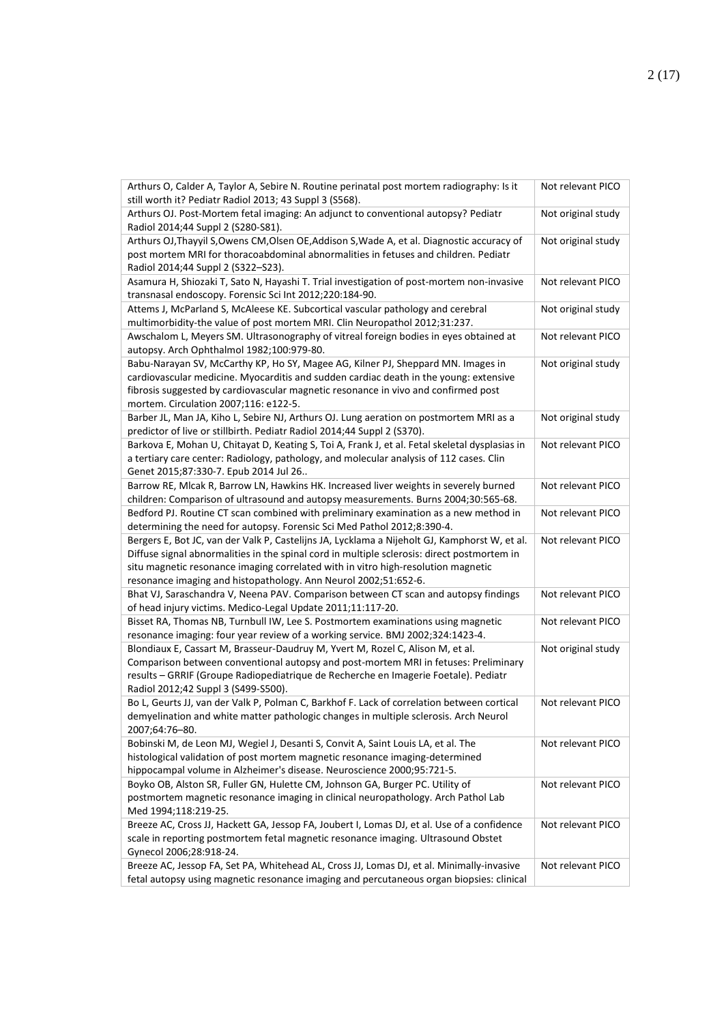| Arthurs O, Calder A, Taylor A, Sebire N. Routine perinatal post mortem radiography: Is it<br>still worth it? Pediatr Radiol 2013; 43 Suppl 3 (S568).                                                                                                                                                                                                 | Not relevant PICO  |
|------------------------------------------------------------------------------------------------------------------------------------------------------------------------------------------------------------------------------------------------------------------------------------------------------------------------------------------------------|--------------------|
| Arthurs OJ. Post-Mortem fetal imaging: An adjunct to conventional autopsy? Pediatr<br>Radiol 2014;44 Suppl 2 (S280-S81).                                                                                                                                                                                                                             | Not original study |
| Arthurs OJ, Thayyil S, Owens CM, Olsen OE, Addison S, Wade A, et al. Diagnostic accuracy of<br>post mortem MRI for thoracoabdominal abnormalities in fetuses and children. Pediatr<br>Radiol 2014;44 Suppl 2 (S322-S23).                                                                                                                             | Not original study |
| Asamura H, Shiozaki T, Sato N, Hayashi T. Trial investigation of post-mortem non-invasive<br>transnasal endoscopy. Forensic Sci Int 2012;220:184-90.                                                                                                                                                                                                 | Not relevant PICO  |
| Attems J, McParland S, McAleese KE. Subcortical vascular pathology and cerebral<br>multimorbidity-the value of post mortem MRI. Clin Neuropathol 2012;31:237.                                                                                                                                                                                        | Not original study |
| Awschalom L, Meyers SM. Ultrasonography of vitreal foreign bodies in eyes obtained at<br>autopsy. Arch Ophthalmol 1982;100:979-80.                                                                                                                                                                                                                   | Not relevant PICO  |
| Babu-Narayan SV, McCarthy KP, Ho SY, Magee AG, Kilner PJ, Sheppard MN. Images in<br>cardiovascular medicine. Myocarditis and sudden cardiac death in the young: extensive<br>fibrosis suggested by cardiovascular magnetic resonance in vivo and confirmed post<br>mortem. Circulation 2007;116: e122-5.                                             | Not original study |
| Barber JL, Man JA, Kiho L, Sebire NJ, Arthurs OJ. Lung aeration on postmortem MRI as a<br>predictor of live or stillbirth. Pediatr Radiol 2014;44 Suppl 2 (S370).                                                                                                                                                                                    | Not original study |
| Barkova E, Mohan U, Chitayat D, Keating S, Toi A, Frank J, et al. Fetal skeletal dysplasias in<br>a tertiary care center: Radiology, pathology, and molecular analysis of 112 cases. Clin<br>Genet 2015;87:330-7. Epub 2014 Jul 26                                                                                                                   | Not relevant PICO  |
| Barrow RE, Mlcak R, Barrow LN, Hawkins HK. Increased liver weights in severely burned<br>children: Comparison of ultrasound and autopsy measurements. Burns 2004;30:565-68.                                                                                                                                                                          | Not relevant PICO  |
| Bedford PJ. Routine CT scan combined with preliminary examination as a new method in<br>determining the need for autopsy. Forensic Sci Med Pathol 2012;8:390-4.                                                                                                                                                                                      | Not relevant PICO  |
| Bergers E, Bot JC, van der Valk P, Castelijns JA, Lycklama a Nijeholt GJ, Kamphorst W, et al.<br>Diffuse signal abnormalities in the spinal cord in multiple sclerosis: direct postmortem in<br>situ magnetic resonance imaging correlated with in vitro high-resolution magnetic<br>resonance imaging and histopathology. Ann Neurol 2002;51:652-6. | Not relevant PICO  |
| Bhat VJ, Saraschandra V, Neena PAV. Comparison between CT scan and autopsy findings<br>of head injury victims. Medico-Legal Update 2011;11:117-20.                                                                                                                                                                                                   | Not relevant PICO  |
| Bisset RA, Thomas NB, Turnbull IW, Lee S. Postmortem examinations using magnetic<br>resonance imaging: four year review of a working service. BMJ 2002;324:1423-4.                                                                                                                                                                                   | Not relevant PICO  |
| Blondiaux E, Cassart M, Brasseur-Daudruy M, Yvert M, Rozel C, Alison M, et al.<br>Comparison between conventional autopsy and post-mortem MRI in fetuses: Preliminary<br>results - GRRIF (Groupe Radiopediatrique de Recherche en Imagerie Foetale). Pediatr<br>Radiol 2012;42 Suppl 3 (S499-S500).                                                  | Not original study |
| Bo L, Geurts JJ, van der Valk P, Polman C, Barkhof F. Lack of correlation between cortical<br>demyelination and white matter pathologic changes in multiple sclerosis. Arch Neurol<br>2007;64:76-80.                                                                                                                                                 | Not relevant PICO  |
| Bobinski M, de Leon MJ, Wegiel J, Desanti S, Convit A, Saint Louis LA, et al. The<br>histological validation of post mortem magnetic resonance imaging-determined<br>hippocampal volume in Alzheimer's disease. Neuroscience 2000;95:721-5.                                                                                                          | Not relevant PICO  |
| Boyko OB, Alston SR, Fuller GN, Hulette CM, Johnson GA, Burger PC. Utility of<br>postmortem magnetic resonance imaging in clinical neuropathology. Arch Pathol Lab<br>Med 1994;118:219-25.                                                                                                                                                           | Not relevant PICO  |
| Breeze AC, Cross JJ, Hackett GA, Jessop FA, Joubert I, Lomas DJ, et al. Use of a confidence<br>scale in reporting postmortem fetal magnetic resonance imaging. Ultrasound Obstet<br>Gynecol 2006;28:918-24.                                                                                                                                          | Not relevant PICO  |
| Breeze AC, Jessop FA, Set PA, Whitehead AL, Cross JJ, Lomas DJ, et al. Minimally-invasive<br>fetal autopsy using magnetic resonance imaging and percutaneous organ biopsies: clinical                                                                                                                                                                | Not relevant PICO  |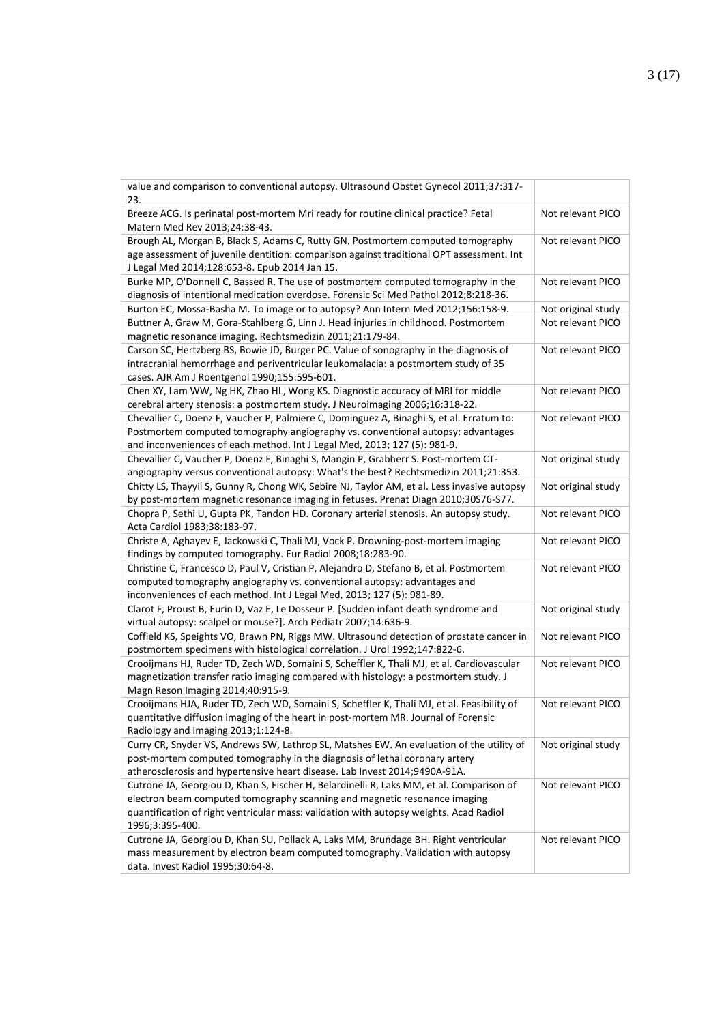| value and comparison to conventional autopsy. Ultrasound Obstet Gynecol 2011;37:317-<br>23.                                                                                                                                                                                        |                    |
|------------------------------------------------------------------------------------------------------------------------------------------------------------------------------------------------------------------------------------------------------------------------------------|--------------------|
| Breeze ACG. Is perinatal post-mortem Mri ready for routine clinical practice? Fetal<br>Matern Med Rev 2013;24:38-43.                                                                                                                                                               | Not relevant PICO  |
| Brough AL, Morgan B, Black S, Adams C, Rutty GN. Postmortem computed tomography<br>age assessment of juvenile dentition: comparison against traditional OPT assessment. Int<br>J Legal Med 2014;128:653-8. Epub 2014 Jan 15.                                                       | Not relevant PICO  |
| Burke MP, O'Donnell C, Bassed R. The use of postmortem computed tomography in the<br>diagnosis of intentional medication overdose. Forensic Sci Med Pathol 2012;8:218-36.                                                                                                          | Not relevant PICO  |
| Burton EC, Mossa-Basha M. To image or to autopsy? Ann Intern Med 2012;156:158-9.                                                                                                                                                                                                   | Not original study |
| Buttner A, Graw M, Gora-Stahlberg G, Linn J. Head injuries in childhood. Postmortem<br>magnetic resonance imaging. Rechtsmedizin 2011;21:179-84.                                                                                                                                   | Not relevant PICO  |
| Carson SC, Hertzberg BS, Bowie JD, Burger PC. Value of sonography in the diagnosis of<br>intracranial hemorrhage and periventricular leukomalacia: a postmortem study of 35<br>cases. AJR Am J Roentgenol 1990;155:595-601.                                                        | Not relevant PICO  |
| Chen XY, Lam WW, Ng HK, Zhao HL, Wong KS. Diagnostic accuracy of MRI for middle<br>cerebral artery stenosis: a postmortem study. J Neuroimaging 2006;16:318-22.                                                                                                                    | Not relevant PICO  |
| Chevallier C, Doenz F, Vaucher P, Palmiere C, Dominguez A, Binaghi S, et al. Erratum to:<br>Postmortem computed tomography angiography vs. conventional autopsy: advantages<br>and inconveniences of each method. Int J Legal Med, 2013; 127 (5): 981-9.                           | Not relevant PICO  |
| Chevallier C, Vaucher P, Doenz F, Binaghi S, Mangin P, Grabherr S. Post-mortem CT-<br>angiography versus conventional autopsy: What's the best? Rechtsmedizin 2011;21:353.                                                                                                         | Not original study |
| Chitty LS, Thayyil S, Gunny R, Chong WK, Sebire NJ, Taylor AM, et al. Less invasive autopsy<br>by post-mortem magnetic resonance imaging in fetuses. Prenat Diagn 2010;30S76-S77.                                                                                                  | Not original study |
| Chopra P, Sethi U, Gupta PK, Tandon HD. Coronary arterial stenosis. An autopsy study.<br>Acta Cardiol 1983;38:183-97.                                                                                                                                                              | Not relevant PICO  |
| Christe A, Aghayev E, Jackowski C, Thali MJ, Vock P. Drowning-post-mortem imaging<br>findings by computed tomography. Eur Radiol 2008;18:283-90.                                                                                                                                   | Not relevant PICO  |
| Christine C, Francesco D, Paul V, Cristian P, Alejandro D, Stefano B, et al. Postmortem<br>computed tomography angiography vs. conventional autopsy: advantages and<br>inconveniences of each method. Int J Legal Med, 2013; 127 (5): 981-89.                                      | Not relevant PICO  |
| Clarot F, Proust B, Eurin D, Vaz E, Le Dosseur P. [Sudden infant death syndrome and<br>virtual autopsy: scalpel or mouse?]. Arch Pediatr 2007;14:636-9.                                                                                                                            | Not original study |
| Coffield KS, Speights VO, Brawn PN, Riggs MW. Ultrasound detection of prostate cancer in<br>postmortem specimens with histological correlation. J Urol 1992;147:822-6.                                                                                                             | Not relevant PICO  |
| Crooijmans HJ, Ruder TD, Zech WD, Somaini S, Scheffler K, Thali MJ, et al. Cardiovascular<br>magnetization transfer ratio imaging compared with histology: a postmortem study. J<br>Magn Reson Imaging 2014;40:915-9.                                                              | Not relevant PICO  |
| Crooijmans HJA, Ruder TD, Zech WD, Somaini S, Scheffler K, Thali MJ, et al. Feasibility of<br>quantitative diffusion imaging of the heart in post-mortem MR. Journal of Forensic<br>Radiology and Imaging 2013;1:124-8.                                                            | Not relevant PICO  |
| Curry CR, Snyder VS, Andrews SW, Lathrop SL, Matshes EW. An evaluation of the utility of<br>post-mortem computed tomography in the diagnosis of lethal coronary artery<br>atherosclerosis and hypertensive heart disease. Lab Invest 2014;9490A-91A.                               | Not original study |
| Cutrone JA, Georgiou D, Khan S, Fischer H, Belardinelli R, Laks MM, et al. Comparison of<br>electron beam computed tomography scanning and magnetic resonance imaging<br>quantification of right ventricular mass: validation with autopsy weights. Acad Radiol<br>1996;3:395-400. | Not relevant PICO  |
| Cutrone JA, Georgiou D, Khan SU, Pollack A, Laks MM, Brundage BH. Right ventricular<br>mass measurement by electron beam computed tomography. Validation with autopsy<br>data. Invest Radiol 1995;30:64-8.                                                                         | Not relevant PICO  |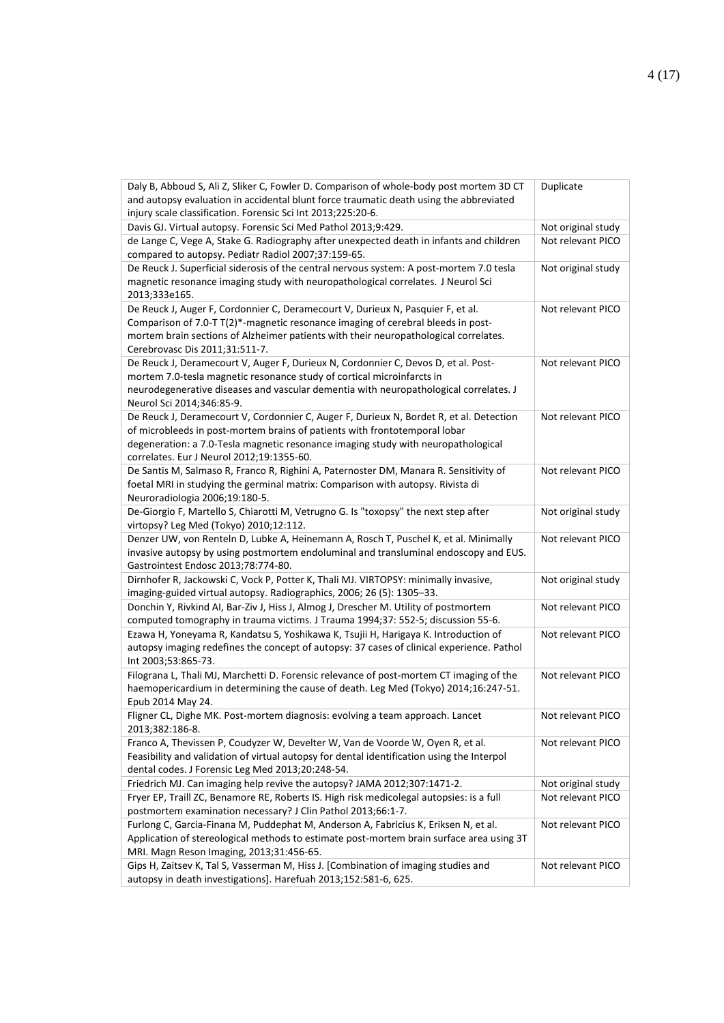| Daly B, Abboud S, Ali Z, Sliker C, Fowler D. Comparison of whole-body post mortem 3D CT<br>and autopsy evaluation in accidental blunt force traumatic death using the abbreviated                                                                                                                       | Duplicate          |
|---------------------------------------------------------------------------------------------------------------------------------------------------------------------------------------------------------------------------------------------------------------------------------------------------------|--------------------|
| injury scale classification. Forensic Sci Int 2013;225:20-6.                                                                                                                                                                                                                                            |                    |
| Davis GJ. Virtual autopsy. Forensic Sci Med Pathol 2013;9:429.                                                                                                                                                                                                                                          | Not original study |
| de Lange C, Vege A, Stake G. Radiography after unexpected death in infants and children<br>compared to autopsy. Pediatr Radiol 2007;37:159-65.                                                                                                                                                          | Not relevant PICO  |
| De Reuck J. Superficial siderosis of the central nervous system: A post-mortem 7.0 tesla<br>magnetic resonance imaging study with neuropathological correlates. J Neurol Sci<br>2013;333e165.                                                                                                           | Not original study |
| De Reuck J, Auger F, Cordonnier C, Deramecourt V, Durieux N, Pasquier F, et al.<br>Comparison of 7.0-T T(2)*-magnetic resonance imaging of cerebral bleeds in post-<br>mortem brain sections of Alzheimer patients with their neuropathological correlates.<br>Cerebrovasc Dis 2011;31:511-7.           | Not relevant PICO  |
| De Reuck J, Deramecourt V, Auger F, Durieux N, Cordonnier C, Devos D, et al. Post-<br>mortem 7.0-tesla magnetic resonance study of cortical microinfarcts in<br>neurodegenerative diseases and vascular dementia with neuropathological correlates. J<br>Neurol Sci 2014;346:85-9.                      | Not relevant PICO  |
| De Reuck J, Deramecourt V, Cordonnier C, Auger F, Durieux N, Bordet R, et al. Detection<br>of microbleeds in post-mortem brains of patients with frontotemporal lobar<br>degeneration: a 7.0-Tesla magnetic resonance imaging study with neuropathological<br>correlates. Eur J Neurol 2012;19:1355-60. | Not relevant PICO  |
| De Santis M, Salmaso R, Franco R, Righini A, Paternoster DM, Manara R. Sensitivity of<br>foetal MRI in studying the germinal matrix: Comparison with autopsy. Rivista di<br>Neuroradiologia 2006;19:180-5.                                                                                              | Not relevant PICO  |
| De-Giorgio F, Martello S, Chiarotti M, Vetrugno G. Is "toxopsy" the next step after<br>virtopsy? Leg Med (Tokyo) 2010;12:112.                                                                                                                                                                           | Not original study |
| Denzer UW, von Renteln D, Lubke A, Heinemann A, Rosch T, Puschel K, et al. Minimally<br>invasive autopsy by using postmortem endoluminal and transluminal endoscopy and EUS.<br>Gastrointest Endosc 2013;78:774-80.                                                                                     | Not relevant PICO  |
| Dirnhofer R, Jackowski C, Vock P, Potter K, Thali MJ. VIRTOPSY: minimally invasive,<br>imaging-guided virtual autopsy. Radiographics, 2006; 26 (5): 1305-33.                                                                                                                                            | Not original study |
| Donchin Y, Rivkind AI, Bar-Ziv J, Hiss J, Almog J, Drescher M. Utility of postmortem<br>computed tomography in trauma victims. J Trauma 1994;37: 552-5; discussion 55-6.                                                                                                                                | Not relevant PICO  |
| Ezawa H, Yoneyama R, Kandatsu S, Yoshikawa K, Tsujii H, Harigaya K. Introduction of<br>autopsy imaging redefines the concept of autopsy: 37 cases of clinical experience. Pathol<br>Int 2003;53:865-73.                                                                                                 | Not relevant PICO  |
| Filograna L, Thali MJ, Marchetti D. Forensic relevance of post-mortem CT imaging of the<br>haemopericardium in determining the cause of death. Leg Med (Tokyo) 2014;16:247-51.<br>Epub 2014 May 24.                                                                                                     | Not relevant PICO  |
| Fligner CL, Dighe MK. Post-mortem diagnosis: evolving a team approach. Lancet<br>2013;382:186-8.                                                                                                                                                                                                        | Not relevant PICO  |
| Franco A, Thevissen P, Coudyzer W, Develter W, Van de Voorde W, Oyen R, et al.<br>Feasibility and validation of virtual autopsy for dental identification using the Interpol<br>dental codes. J Forensic Leg Med 2013;20:248-54.                                                                        | Not relevant PICO  |
| Friedrich MJ. Can imaging help revive the autopsy? JAMA 2012;307:1471-2.                                                                                                                                                                                                                                | Not original study |
| Fryer EP, Traill ZC, Benamore RE, Roberts IS. High risk medicolegal autopsies: is a full<br>postmortem examination necessary? J Clin Pathol 2013;66:1-7.                                                                                                                                                | Not relevant PICO  |
| Furlong C, Garcia-Finana M, Puddephat M, Anderson A, Fabricius K, Eriksen N, et al.<br>Application of stereological methods to estimate post-mortem brain surface area using 3T<br>MRI. Magn Reson Imaging, 2013;31:456-65.                                                                             | Not relevant PICO  |
| Gips H, Zaitsev K, Tal S, Vasserman M, Hiss J. [Combination of imaging studies and<br>autopsy in death investigations]. Harefuah 2013;152:581-6, 625.                                                                                                                                                   | Not relevant PICO  |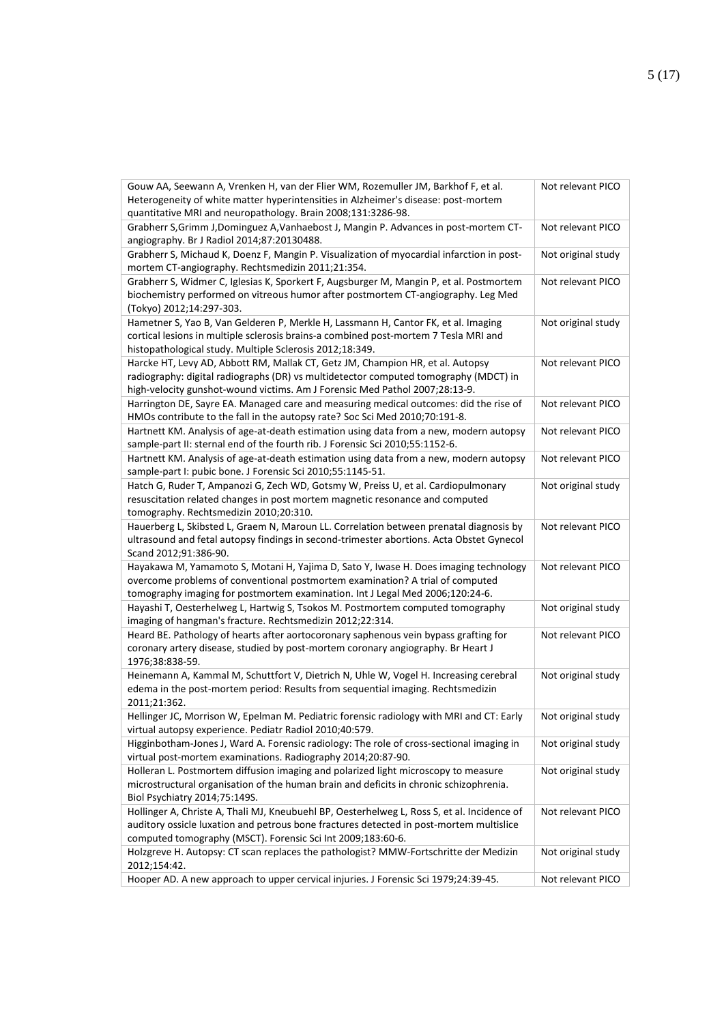| Gouw AA, Seewann A, Vrenken H, van der Flier WM, Rozemuller JM, Barkhof F, et al.                                                                        | Not relevant PICO  |
|----------------------------------------------------------------------------------------------------------------------------------------------------------|--------------------|
| Heterogeneity of white matter hyperintensities in Alzheimer's disease: post-mortem                                                                       |                    |
| quantitative MRI and neuropathology. Brain 2008;131:3286-98.                                                                                             |                    |
| Grabherr S, Grimm J, Dominguez A, Vanhaebost J, Mangin P. Advances in post-mortem CT-<br>angiography. Br J Radiol 2014;87:20130488.                      | Not relevant PICO  |
| Grabherr S, Michaud K, Doenz F, Mangin P. Visualization of myocardial infarction in post-                                                                | Not original study |
| mortem CT-angiography. Rechtsmedizin 2011;21:354.                                                                                                        |                    |
| Grabherr S, Widmer C, Iglesias K, Sporkert F, Augsburger M, Mangin P, et al. Postmortem                                                                  | Not relevant PICO  |
| biochemistry performed on vitreous humor after postmortem CT-angiography. Leg Med                                                                        |                    |
| (Tokyo) 2012;14:297-303.                                                                                                                                 |                    |
| Hametner S, Yao B, Van Gelderen P, Merkle H, Lassmann H, Cantor FK, et al. Imaging                                                                       | Not original study |
| cortical lesions in multiple sclerosis brains-a combined post-mortem 7 Tesla MRI and                                                                     |                    |
| histopathological study. Multiple Sclerosis 2012;18:349.                                                                                                 |                    |
| Harcke HT, Levy AD, Abbott RM, Mallak CT, Getz JM, Champion HR, et al. Autopsy                                                                           | Not relevant PICO  |
| radiography: digital radiographs (DR) vs multidetector computed tomography (MDCT) in                                                                     |                    |
| high-velocity gunshot-wound victims. Am J Forensic Med Pathol 2007;28:13-9.                                                                              |                    |
| Harrington DE, Sayre EA. Managed care and measuring medical outcomes: did the rise of                                                                    | Not relevant PICO  |
| HMOs contribute to the fall in the autopsy rate? Soc Sci Med 2010;70:191-8.                                                                              |                    |
| Hartnett KM. Analysis of age-at-death estimation using data from a new, modern autopsy                                                                   | Not relevant PICO  |
| sample-part II: sternal end of the fourth rib. J Forensic Sci 2010;55:1152-6.                                                                            |                    |
| Hartnett KM. Analysis of age-at-death estimation using data from a new, modern autopsy                                                                   | Not relevant PICO  |
| sample-part I: pubic bone. J Forensic Sci 2010;55:1145-51.                                                                                               |                    |
| Hatch G, Ruder T, Ampanozi G, Zech WD, Gotsmy W, Preiss U, et al. Cardiopulmonary                                                                        | Not original study |
| resuscitation related changes in post mortem magnetic resonance and computed                                                                             |                    |
| tomography. Rechtsmedizin 2010;20:310.<br>Hauerberg L, Skibsted L, Graem N, Maroun LL. Correlation between prenatal diagnosis by                         | Not relevant PICO  |
| ultrasound and fetal autopsy findings in second-trimester abortions. Acta Obstet Gynecol                                                                 |                    |
| Scand 2012;91:386-90.                                                                                                                                    |                    |
| Hayakawa M, Yamamoto S, Motani H, Yajima D, Sato Y, Iwase H. Does imaging technology                                                                     | Not relevant PICO  |
| overcome problems of conventional postmortem examination? A trial of computed                                                                            |                    |
| tomography imaging for postmortem examination. Int J Legal Med 2006;120:24-6.                                                                            |                    |
| Hayashi T, Oesterhelweg L, Hartwig S, Tsokos M. Postmortem computed tomography                                                                           | Not original study |
| imaging of hangman's fracture. Rechtsmedizin 2012;22:314.                                                                                                |                    |
| Heard BE. Pathology of hearts after aortocoronary saphenous vein bypass grafting for                                                                     | Not relevant PICO  |
| coronary artery disease, studied by post-mortem coronary angiography. Br Heart J                                                                         |                    |
| 1976;38:838-59.                                                                                                                                          |                    |
| Heinemann A, Kammal M, Schuttfort V, Dietrich N, Uhle W, Vogel H. Increasing cerebral                                                                    | Not original study |
| edema in the post-mortem period: Results from sequential imaging. Rechtsmedizin                                                                          |                    |
| 2011;21:362.                                                                                                                                             |                    |
| Hellinger JC, Morrison W, Epelman M. Pediatric forensic radiology with MRI and CT: Early                                                                 | Not original study |
| virtual autopsy experience. Pediatr Radiol 2010;40:579.                                                                                                  |                    |
| Higginbotham-Jones J, Ward A. Forensic radiology: The role of cross-sectional imaging in<br>virtual post-mortem examinations. Radiography 2014;20:87-90. | Not original study |
| Holleran L. Postmortem diffusion imaging and polarized light microscopy to measure                                                                       | Not original study |
| microstructural organisation of the human brain and deficits in chronic schizophrenia.                                                                   |                    |
| Biol Psychiatry 2014;75:149S.                                                                                                                            |                    |
| Hollinger A, Christe A, Thali MJ, Kneubuehl BP, Oesterhelweg L, Ross S, et al. Incidence of                                                              | Not relevant PICO  |
| auditory ossicle luxation and petrous bone fractures detected in post-mortem multislice                                                                  |                    |
| computed tomography (MSCT). Forensic Sci Int 2009;183:60-6.                                                                                              |                    |
| Holzgreve H. Autopsy: CT scan replaces the pathologist? MMW-Fortschritte der Medizin                                                                     | Not original study |
| 2012;154:42.                                                                                                                                             |                    |
| Hooper AD. A new approach to upper cervical injuries. J Forensic Sci 1979;24:39-45.                                                                      | Not relevant PICO  |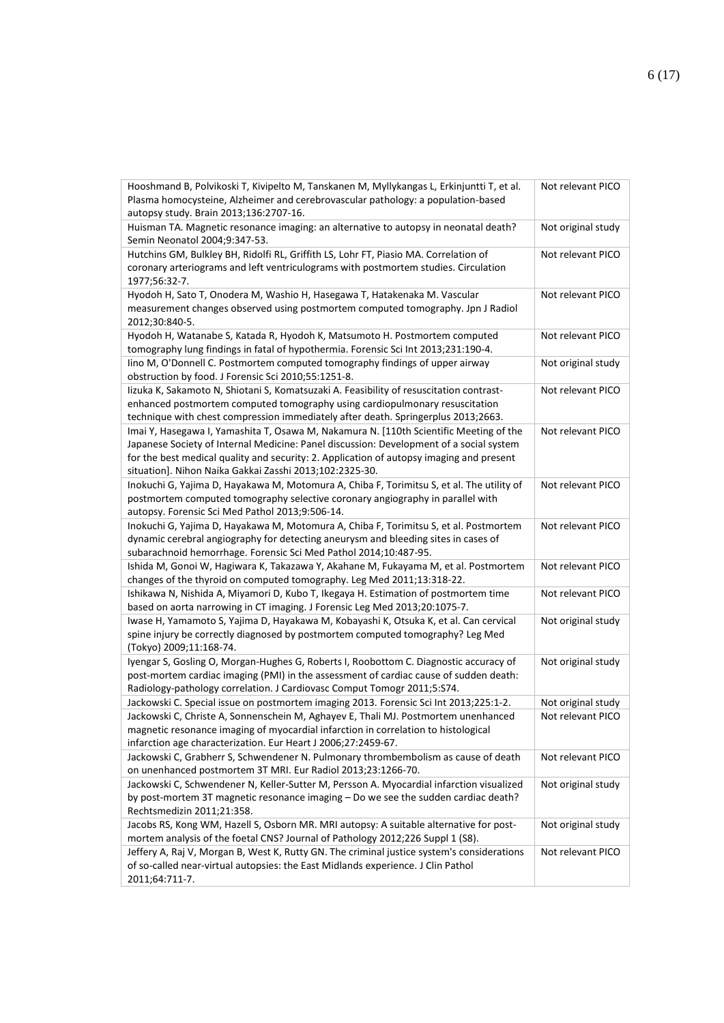| Hooshmand B, Polvikoski T, Kivipelto M, Tanskanen M, Myllykangas L, Erkinjuntti T, et al.<br>Plasma homocysteine, Alzheimer and cerebrovascular pathology: a population-based<br>autopsy study. Brain 2013;136:2707-16.                                                                                                                  | Not relevant PICO  |
|------------------------------------------------------------------------------------------------------------------------------------------------------------------------------------------------------------------------------------------------------------------------------------------------------------------------------------------|--------------------|
| Huisman TA. Magnetic resonance imaging: an alternative to autopsy in neonatal death?<br>Semin Neonatol 2004;9:347-53.                                                                                                                                                                                                                    | Not original study |
| Hutchins GM, Bulkley BH, Ridolfi RL, Griffith LS, Lohr FT, Piasio MA. Correlation of<br>coronary arteriograms and left ventriculograms with postmortem studies. Circulation<br>1977;56:32-7.                                                                                                                                             | Not relevant PICO  |
| Hyodoh H, Sato T, Onodera M, Washio H, Hasegawa T, Hatakenaka M. Vascular<br>measurement changes observed using postmortem computed tomography. Jpn J Radiol<br>2012;30:840-5.                                                                                                                                                           | Not relevant PICO  |
| Hyodoh H, Watanabe S, Katada R, Hyodoh K, Matsumoto H. Postmortem computed<br>tomography lung findings in fatal of hypothermia. Forensic Sci Int 2013;231:190-4.                                                                                                                                                                         | Not relevant PICO  |
| lino M, O'Donnell C. Postmortem computed tomography findings of upper airway<br>obstruction by food. J Forensic Sci 2010;55:1251-8.                                                                                                                                                                                                      | Not original study |
| Iizuka K, Sakamoto N, Shiotani S, Komatsuzaki A. Feasibility of resuscitation contrast-<br>enhanced postmortem computed tomography using cardiopulmonary resuscitation<br>technique with chest compression immediately after death. Springerplus 2013;2663.                                                                              | Not relevant PICO  |
| Imai Y, Hasegawa I, Yamashita T, Osawa M, Nakamura N. [110th Scientific Meeting of the<br>Japanese Society of Internal Medicine: Panel discussion: Development of a social system<br>for the best medical quality and security: 2. Application of autopsy imaging and present<br>situation]. Nihon Naika Gakkai Zasshi 2013;102:2325-30. | Not relevant PICO  |
| Inokuchi G, Yajima D, Hayakawa M, Motomura A, Chiba F, Torimitsu S, et al. The utility of<br>postmortem computed tomography selective coronary angiography in parallel with<br>autopsy. Forensic Sci Med Pathol 2013;9:506-14.                                                                                                           | Not relevant PICO  |
| Inokuchi G, Yajima D, Hayakawa M, Motomura A, Chiba F, Torimitsu S, et al. Postmortem<br>dynamic cerebral angiography for detecting aneurysm and bleeding sites in cases of<br>subarachnoid hemorrhage. Forensic Sci Med Pathol 2014;10:487-95.                                                                                          | Not relevant PICO  |
| Ishida M, Gonoi W, Hagiwara K, Takazawa Y, Akahane M, Fukayama M, et al. Postmortem<br>changes of the thyroid on computed tomography. Leg Med 2011;13:318-22.                                                                                                                                                                            | Not relevant PICO  |
| Ishikawa N, Nishida A, Miyamori D, Kubo T, Ikegaya H. Estimation of postmortem time<br>based on aorta narrowing in CT imaging. J Forensic Leg Med 2013;20:1075-7.                                                                                                                                                                        | Not relevant PICO  |
| Iwase H, Yamamoto S, Yajima D, Hayakawa M, Kobayashi K, Otsuka K, et al. Can cervical<br>spine injury be correctly diagnosed by postmortem computed tomography? Leg Med<br>(Tokyo) 2009;11:168-74.                                                                                                                                       | Not original study |
| Iyengar S, Gosling O, Morgan-Hughes G, Roberts I, Roobottom C. Diagnostic accuracy of<br>post-mortem cardiac imaging (PMI) in the assessment of cardiac cause of sudden death:<br>Radiology-pathology correlation. J Cardiovasc Comput Tomogr 2011;5:S74.                                                                                | Not original study |
| Jackowski C. Special issue on postmortem imaging 2013. Forensic Sci Int 2013;225:1-2.                                                                                                                                                                                                                                                    | Not original study |
| Jackowski C, Christe A, Sonnenschein M, Aghayev E, Thali MJ. Postmortem unenhanced<br>magnetic resonance imaging of myocardial infarction in correlation to histological<br>infarction age characterization. Eur Heart J 2006;27:2459-67.                                                                                                | Not relevant PICO  |
| Jackowski C, Grabherr S, Schwendener N. Pulmonary thrombembolism as cause of death<br>on unenhanced postmortem 3T MRI. Eur Radiol 2013;23:1266-70.                                                                                                                                                                                       | Not relevant PICO  |
| Jackowski C, Schwendener N, Keller-Sutter M, Persson A. Myocardial infarction visualized<br>by post-mortem 3T magnetic resonance imaging - Do we see the sudden cardiac death?<br>Rechtsmedizin 2011;21:358.                                                                                                                             | Not original study |
| Jacobs RS, Kong WM, Hazell S, Osborn MR. MRI autopsy: A suitable alternative for post-<br>mortem analysis of the foetal CNS? Journal of Pathology 2012;226 Suppl 1 (S8).                                                                                                                                                                 | Not original study |
| Jeffery A, Raj V, Morgan B, West K, Rutty GN. The criminal justice system's considerations<br>of so-called near-virtual autopsies: the East Midlands experience. J Clin Pathol<br>2011;64:711-7.                                                                                                                                         | Not relevant PICO  |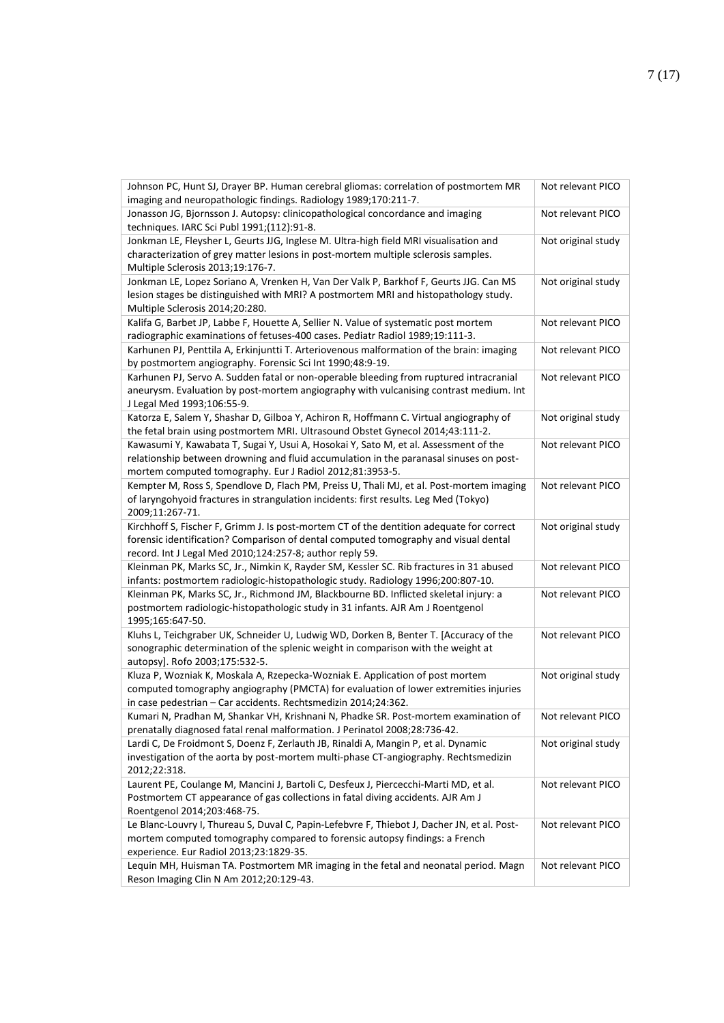| Johnson PC, Hunt SJ, Drayer BP. Human cerebral gliomas: correlation of postmortem MR<br>imaging and neuropathologic findings. Radiology 1989;170:211-7.                                                                                     | Not relevant PICO  |
|---------------------------------------------------------------------------------------------------------------------------------------------------------------------------------------------------------------------------------------------|--------------------|
| Jonasson JG, Bjornsson J. Autopsy: clinicopathological concordance and imaging<br>techniques. IARC Sci Publ 1991;(112):91-8.                                                                                                                | Not relevant PICO  |
| Jonkman LE, Fleysher L, Geurts JJG, Inglese M. Ultra-high field MRI visualisation and<br>characterization of grey matter lesions in post-mortem multiple sclerosis samples.<br>Multiple Sclerosis 2013;19:176-7.                            | Not original study |
| Jonkman LE, Lopez Soriano A, Vrenken H, Van Der Valk P, Barkhof F, Geurts JJG. Can MS<br>lesion stages be distinguished with MRI? A postmortem MRI and histopathology study.<br>Multiple Sclerosis 2014;20:280.                             | Not original study |
| Kalifa G, Barbet JP, Labbe F, Houette A, Sellier N. Value of systematic post mortem<br>radiographic examinations of fetuses-400 cases. Pediatr Radiol 1989;19:111-3.                                                                        | Not relevant PICO  |
| Karhunen PJ, Penttila A, Erkinjuntti T. Arteriovenous malformation of the brain: imaging<br>by postmortem angiography. Forensic Sci Int 1990;48:9-19.                                                                                       | Not relevant PICO  |
| Karhunen PJ, Servo A. Sudden fatal or non-operable bleeding from ruptured intracranial<br>aneurysm. Evaluation by post-mortem angiography with vulcanising contrast medium. Int<br>J Legal Med 1993;106:55-9.                               | Not relevant PICO  |
| Katorza E, Salem Y, Shashar D, Gilboa Y, Achiron R, Hoffmann C. Virtual angiography of<br>the fetal brain using postmortem MRI. Ultrasound Obstet Gynecol 2014;43:111-2.                                                                    | Not original study |
| Kawasumi Y, Kawabata T, Sugai Y, Usui A, Hosokai Y, Sato M, et al. Assessment of the<br>relationship between drowning and fluid accumulation in the paranasal sinuses on post-<br>mortem computed tomography. Eur J Radiol 2012;81:3953-5.  | Not relevant PICO  |
| Kempter M, Ross S, Spendlove D, Flach PM, Preiss U, Thali MJ, et al. Post-mortem imaging<br>of laryngohyoid fractures in strangulation incidents: first results. Leg Med (Tokyo)<br>2009;11:267-71.                                         | Not relevant PICO  |
| Kirchhoff S, Fischer F, Grimm J. Is post-mortem CT of the dentition adequate for correct<br>forensic identification? Comparison of dental computed tomography and visual dental<br>record. Int J Legal Med 2010;124:257-8; author reply 59. | Not original study |
| Kleinman PK, Marks SC, Jr., Nimkin K, Rayder SM, Kessler SC. Rib fractures in 31 abused<br>infants: postmortem radiologic-histopathologic study. Radiology 1996;200:807-10.                                                                 | Not relevant PICO  |
| Kleinman PK, Marks SC, Jr., Richmond JM, Blackbourne BD. Inflicted skeletal injury: a<br>postmortem radiologic-histopathologic study in 31 infants. AJR Am J Roentgenol<br>1995;165:647-50.                                                 | Not relevant PICO  |
| Kluhs L, Teichgraber UK, Schneider U, Ludwig WD, Dorken B, Benter T. [Accuracy of the<br>sonographic determination of the splenic weight in comparison with the weight at<br>autopsy]. Rofo 2003;175:532-5.                                 | Not relevant PICO  |
| Kluza P, Wozniak K, Moskala A, Rzepecka-Wozniak E. Application of post mortem<br>computed tomography angiography (PMCTA) for evaluation of lower extremities injuries<br>in case pedestrian - Car accidents. Rechtsmedizin 2014;24:362.     | Not original study |
| Kumari N, Pradhan M, Shankar VH, Krishnani N, Phadke SR. Post-mortem examination of<br>prenatally diagnosed fatal renal malformation. J Perinatol 2008;28:736-42.                                                                           | Not relevant PICO  |
| Lardi C, De Froidmont S, Doenz F, Zerlauth JB, Rinaldi A, Mangin P, et al. Dynamic<br>investigation of the aorta by post-mortem multi-phase CT-angiography. Rechtsmedizin<br>2012;22:318.                                                   | Not original study |
| Laurent PE, Coulange M, Mancini J, Bartoli C, Desfeux J, Piercecchi-Marti MD, et al.<br>Postmortem CT appearance of gas collections in fatal diving accidents. AJR Am J<br>Roentgenol 2014;203:468-75.                                      | Not relevant PICO  |
| Le Blanc-Louvry I, Thureau S, Duval C, Papin-Lefebvre F, Thiebot J, Dacher JN, et al. Post-<br>mortem computed tomography compared to forensic autopsy findings: a French<br>experience. Eur Radiol 2013;23:1829-35.                        | Not relevant PICO  |
| Lequin MH, Huisman TA. Postmortem MR imaging in the fetal and neonatal period. Magn<br>Reson Imaging Clin N Am 2012;20:129-43.                                                                                                              | Not relevant PICO  |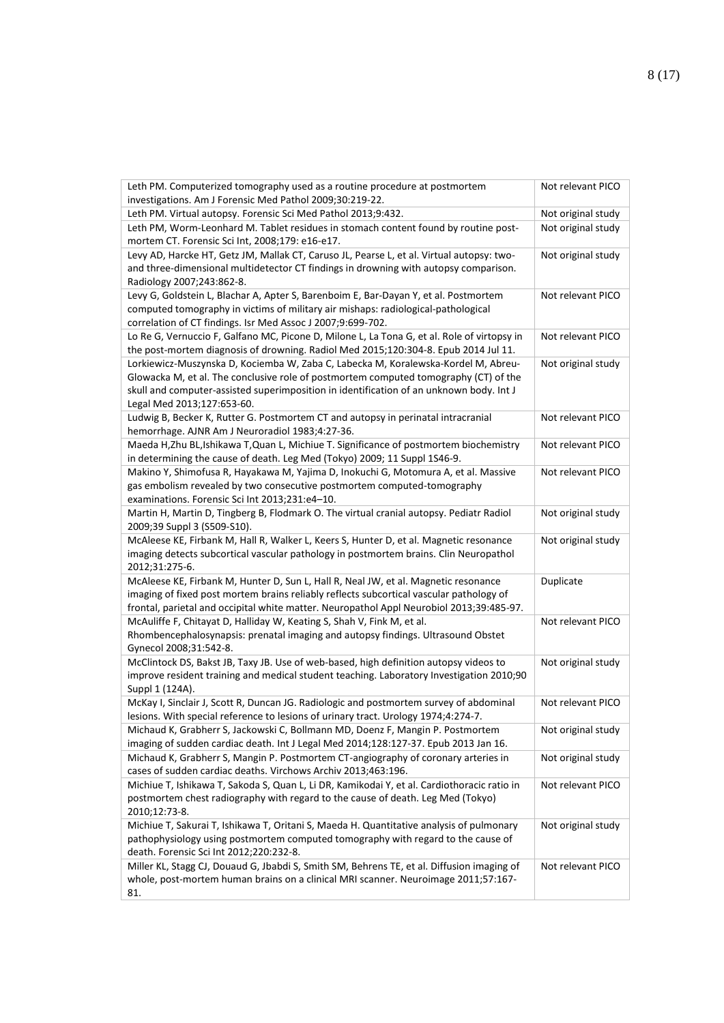| Leth PM. Computerized tomography used as a routine procedure at postmortem<br>investigations. Am J Forensic Med Pathol 2009;30:219-22.                                                                                                                                                              | Not relevant PICO  |
|-----------------------------------------------------------------------------------------------------------------------------------------------------------------------------------------------------------------------------------------------------------------------------------------------------|--------------------|
| Leth PM. Virtual autopsy. Forensic Sci Med Pathol 2013;9:432.                                                                                                                                                                                                                                       | Not original study |
| Leth PM, Worm-Leonhard M. Tablet residues in stomach content found by routine post-<br>mortem CT. Forensic Sci Int, 2008;179: e16-e17.                                                                                                                                                              | Not original study |
| Levy AD, Harcke HT, Getz JM, Mallak CT, Caruso JL, Pearse L, et al. Virtual autopsy: two-<br>and three-dimensional multidetector CT findings in drowning with autopsy comparison.<br>Radiology 2007;243:862-8.                                                                                      | Not original study |
| Levy G, Goldstein L, Blachar A, Apter S, Barenboim E, Bar-Dayan Y, et al. Postmortem<br>computed tomography in victims of military air mishaps: radiological-pathological<br>correlation of CT findings. Isr Med Assoc J 2007;9:699-702.                                                            | Not relevant PICO  |
| Lo Re G, Vernuccio F, Galfano MC, Picone D, Milone L, La Tona G, et al. Role of virtopsy in<br>the post-mortem diagnosis of drowning. Radiol Med 2015;120:304-8. Epub 2014 Jul 11.                                                                                                                  | Not relevant PICO  |
| Lorkiewicz-Muszynska D, Kociemba W, Zaba C, Labecka M, Koralewska-Kordel M, Abreu-<br>Glowacka M, et al. The conclusive role of postmortem computed tomography (CT) of the<br>skull and computer-assisted superimposition in identification of an unknown body. Int J<br>Legal Med 2013;127:653-60. | Not original study |
| Ludwig B, Becker K, Rutter G. Postmortem CT and autopsy in perinatal intracranial<br>hemorrhage. AJNR Am J Neuroradiol 1983;4:27-36.                                                                                                                                                                | Not relevant PICO  |
| Maeda H,Zhu BL,Ishikawa T,Quan L, Michiue T. Significance of postmortem biochemistry<br>in determining the cause of death. Leg Med (Tokyo) 2009; 11 Suppl 1S46-9.                                                                                                                                   | Not relevant PICO  |
| Makino Y, Shimofusa R, Hayakawa M, Yajima D, Inokuchi G, Motomura A, et al. Massive<br>gas embolism revealed by two consecutive postmortem computed-tomography<br>examinations. Forensic Sci Int 2013;231:e4-10.                                                                                    | Not relevant PICO  |
| Martin H, Martin D, Tingberg B, Flodmark O. The virtual cranial autopsy. Pediatr Radiol<br>2009;39 Suppl 3 (S509-S10).                                                                                                                                                                              | Not original study |
| McAleese KE, Firbank M, Hall R, Walker L, Keers S, Hunter D, et al. Magnetic resonance<br>imaging detects subcortical vascular pathology in postmortem brains. Clin Neuropathol<br>2012;31:275-6.                                                                                                   | Not original study |
| McAleese KE, Firbank M, Hunter D, Sun L, Hall R, Neal JW, et al. Magnetic resonance<br>imaging of fixed post mortem brains reliably reflects subcortical vascular pathology of<br>frontal, parietal and occipital white matter. Neuropathol Appl Neurobiol 2013;39:485-97.                          | Duplicate          |
| McAuliffe F, Chitayat D, Halliday W, Keating S, Shah V, Fink M, et al.<br>Rhombencephalosynapsis: prenatal imaging and autopsy findings. Ultrasound Obstet<br>Gynecol 2008;31:542-8.                                                                                                                | Not relevant PICO  |
| McClintock DS, Bakst JB, Taxy JB. Use of web-based, high definition autopsy videos to<br>improve resident training and medical student teaching. Laboratory Investigation 2010;90<br>Suppl 1 (124A).                                                                                                | Not original study |
| McKay I, Sinclair J, Scott R, Duncan JG. Radiologic and postmortem survey of abdominal<br>lesions. With special reference to lesions of urinary tract. Urology 1974;4:274-7.                                                                                                                        | Not relevant PICO  |
| Michaud K, Grabherr S, Jackowski C, Bollmann MD, Doenz F, Mangin P. Postmortem<br>imaging of sudden cardiac death. Int J Legal Med 2014;128:127-37. Epub 2013 Jan 16.                                                                                                                               | Not original study |
| Michaud K, Grabherr S, Mangin P. Postmortem CT-angiography of coronary arteries in<br>cases of sudden cardiac deaths. Virchows Archiv 2013;463:196.                                                                                                                                                 | Not original study |
| Michiue T, Ishikawa T, Sakoda S, Quan L, Li DR, Kamikodai Y, et al. Cardiothoracic ratio in<br>postmortem chest radiography with regard to the cause of death. Leg Med (Tokyo)<br>2010;12:73-8.                                                                                                     | Not relevant PICO  |
| Michiue T, Sakurai T, Ishikawa T, Oritani S, Maeda H. Quantitative analysis of pulmonary<br>pathophysiology using postmortem computed tomography with regard to the cause of<br>death. Forensic Sci Int 2012;220:232-8.                                                                             | Not original study |
| Miller KL, Stagg CJ, Douaud G, Jbabdi S, Smith SM, Behrens TE, et al. Diffusion imaging of<br>whole, post-mortem human brains on a clinical MRI scanner. Neuroimage 2011;57:167-<br>81.                                                                                                             | Not relevant PICO  |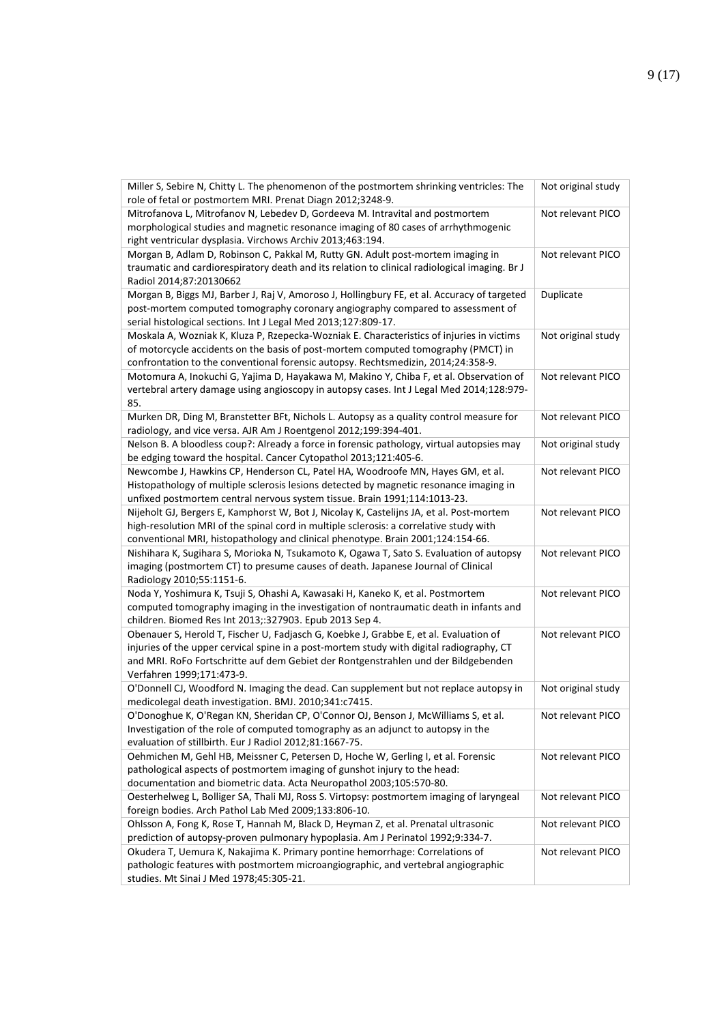| Miller S, Sebire N, Chitty L. The phenomenon of the postmortem shrinking ventricles: The<br>role of fetal or postmortem MRI. Prenat Diagn 2012;3248-9.                                                                                                                                               | Not original study |
|------------------------------------------------------------------------------------------------------------------------------------------------------------------------------------------------------------------------------------------------------------------------------------------------------|--------------------|
| Mitrofanova L, Mitrofanov N, Lebedev D, Gordeeva M. Intravital and postmortem<br>morphological studies and magnetic resonance imaging of 80 cases of arrhythmogenic<br>right ventricular dysplasia. Virchows Archiv 2013;463:194.                                                                    | Not relevant PICO  |
| Morgan B, Adlam D, Robinson C, Pakkal M, Rutty GN. Adult post-mortem imaging in<br>traumatic and cardiorespiratory death and its relation to clinical radiological imaging. Br J<br>Radiol 2014;87:20130662                                                                                          | Not relevant PICO  |
| Morgan B, Biggs MJ, Barber J, Raj V, Amoroso J, Hollingbury FE, et al. Accuracy of targeted<br>post-mortem computed tomography coronary angiography compared to assessment of<br>serial histological sections. Int J Legal Med 2013;127:809-17.                                                      | Duplicate          |
| Moskala A, Wozniak K, Kluza P, Rzepecka-Wozniak E. Characteristics of injuries in victims<br>of motorcycle accidents on the basis of post-mortem computed tomography (PMCT) in<br>confrontation to the conventional forensic autopsy. Rechtsmedizin, 2014;24:358-9.                                  | Not original study |
| Motomura A, Inokuchi G, Yajima D, Hayakawa M, Makino Y, Chiba F, et al. Observation of<br>vertebral artery damage using angioscopy in autopsy cases. Int J Legal Med 2014;128:979-<br>85.                                                                                                            | Not relevant PICO  |
| Murken DR, Ding M, Branstetter BFt, Nichols L. Autopsy as a quality control measure for<br>radiology, and vice versa. AJR Am J Roentgenol 2012;199:394-401.                                                                                                                                          | Not relevant PICO  |
| Nelson B. A bloodless coup?: Already a force in forensic pathology, virtual autopsies may<br>be edging toward the hospital. Cancer Cytopathol 2013;121:405-6.                                                                                                                                        | Not original study |
| Newcombe J, Hawkins CP, Henderson CL, Patel HA, Woodroofe MN, Hayes GM, et al.<br>Histopathology of multiple sclerosis lesions detected by magnetic resonance imaging in<br>unfixed postmortem central nervous system tissue. Brain 1991;114:1013-23.                                                | Not relevant PICO  |
| Nijeholt GJ, Bergers E, Kamphorst W, Bot J, Nicolay K, Castelijns JA, et al. Post-mortem<br>high-resolution MRI of the spinal cord in multiple sclerosis: a correlative study with<br>conventional MRI, histopathology and clinical phenotype. Brain 2001;124:154-66.                                | Not relevant PICO  |
| Nishihara K, Sugihara S, Morioka N, Tsukamoto K, Ogawa T, Sato S. Evaluation of autopsy<br>imaging (postmortem CT) to presume causes of death. Japanese Journal of Clinical<br>Radiology 2010;55:1151-6.                                                                                             | Not relevant PICO  |
| Noda Y, Yoshimura K, Tsuji S, Ohashi A, Kawasaki H, Kaneko K, et al. Postmortem<br>computed tomography imaging in the investigation of nontraumatic death in infants and<br>children. Biomed Res Int 2013;:327903. Epub 2013 Sep 4.                                                                  | Not relevant PICO  |
| Obenauer S, Herold T, Fischer U, Fadjasch G, Koebke J, Grabbe E, et al. Evaluation of<br>injuries of the upper cervical spine in a post-mortem study with digital radiography, CT<br>and MRI. RoFo Fortschritte auf dem Gebiet der Rontgenstrahlen und der Bildgebenden<br>Verfahren 1999;171:473-9. | Not relevant PICO  |
| O'Donnell CJ, Woodford N. Imaging the dead. Can supplement but not replace autopsy in<br>medicolegal death investigation. BMJ. 2010;341:c7415.                                                                                                                                                       | Not original study |
| O'Donoghue K, O'Regan KN, Sheridan CP, O'Connor OJ, Benson J, McWilliams S, et al.<br>Investigation of the role of computed tomography as an adjunct to autopsy in the<br>evaluation of stillbirth. Eur J Radiol 2012;81:1667-75.                                                                    | Not relevant PICO  |
| Oehmichen M, Gehl HB, Meissner C, Petersen D, Hoche W, Gerling I, et al. Forensic<br>pathological aspects of postmortem imaging of gunshot injury to the head:<br>documentation and biometric data. Acta Neuropathol 2003;105:570-80.                                                                | Not relevant PICO  |
| Oesterhelweg L, Bolliger SA, Thali MJ, Ross S. Virtopsy: postmortem imaging of laryngeal<br>foreign bodies. Arch Pathol Lab Med 2009;133:806-10.                                                                                                                                                     | Not relevant PICO  |
| Ohlsson A, Fong K, Rose T, Hannah M, Black D, Heyman Z, et al. Prenatal ultrasonic<br>prediction of autopsy-proven pulmonary hypoplasia. Am J Perinatol 1992;9:334-7.                                                                                                                                | Not relevant PICO  |
| Okudera T, Uemura K, Nakajima K. Primary pontine hemorrhage: Correlations of<br>pathologic features with postmortem microangiographic, and vertebral angiographic<br>studies. Mt Sinai J Med 1978;45:305-21.                                                                                         | Not relevant PICO  |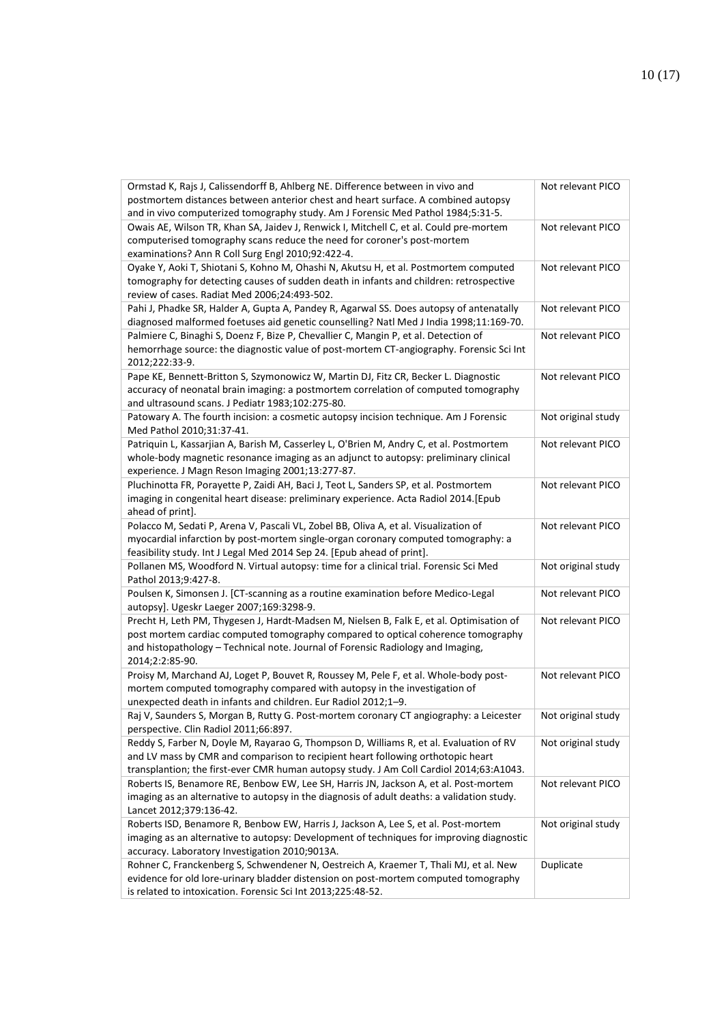| Ormstad K, Rajs J, Calissendorff B, Ahlberg NE. Difference between in vivo and<br>postmortem distances between anterior chest and heart surface. A combined autopsy                                                                                                                | Not relevant PICO  |
|------------------------------------------------------------------------------------------------------------------------------------------------------------------------------------------------------------------------------------------------------------------------------------|--------------------|
| and in vivo computerized tomography study. Am J Forensic Med Pathol 1984;5:31-5.<br>Owais AE, Wilson TR, Khan SA, Jaidev J, Renwick I, Mitchell C, et al. Could pre-mortem<br>computerised tomography scans reduce the need for coroner's post-mortem                              | Not relevant PICO  |
| examinations? Ann R Coll Surg Engl 2010;92:422-4.                                                                                                                                                                                                                                  |                    |
| Oyake Y, Aoki T, Shiotani S, Kohno M, Ohashi N, Akutsu H, et al. Postmortem computed<br>tomography for detecting causes of sudden death in infants and children: retrospective<br>review of cases. Radiat Med 2006;24:493-502.                                                     | Not relevant PICO  |
| Pahi J, Phadke SR, Halder A, Gupta A, Pandey R, Agarwal SS. Does autopsy of antenatally<br>diagnosed malformed foetuses aid genetic counselling? Natl Med J India 1998;11:169-70.                                                                                                  | Not relevant PICO  |
| Palmiere C, Binaghi S, Doenz F, Bize P, Chevallier C, Mangin P, et al. Detection of<br>hemorrhage source: the diagnostic value of post-mortem CT-angiography. Forensic Sci Int<br>2012;222:33-9.                                                                                   | Not relevant PICO  |
| Pape KE, Bennett-Britton S, Szymonowicz W, Martin DJ, Fitz CR, Becker L. Diagnostic<br>accuracy of neonatal brain imaging: a postmortem correlation of computed tomography<br>and ultrasound scans. J Pediatr 1983;102:275-80.                                                     | Not relevant PICO  |
| Patowary A. The fourth incision: a cosmetic autopsy incision technique. Am J Forensic<br>Med Pathol 2010;31:37-41.                                                                                                                                                                 | Not original study |
| Patriquin L, Kassarjian A, Barish M, Casserley L, O'Brien M, Andry C, et al. Postmortem<br>whole-body magnetic resonance imaging as an adjunct to autopsy: preliminary clinical<br>experience. J Magn Reson Imaging 2001;13:277-87.                                                | Not relevant PICO  |
| Pluchinotta FR, Porayette P, Zaidi AH, Baci J, Teot L, Sanders SP, et al. Postmortem<br>imaging in congenital heart disease: preliminary experience. Acta Radiol 2014.[Epub<br>ahead of print].                                                                                    | Not relevant PICO  |
| Polacco M, Sedati P, Arena V, Pascali VL, Zobel BB, Oliva A, et al. Visualization of<br>myocardial infarction by post-mortem single-organ coronary computed tomography: a<br>feasibility study. Int J Legal Med 2014 Sep 24. [Epub ahead of print].                                | Not relevant PICO  |
| Pollanen MS, Woodford N. Virtual autopsy: time for a clinical trial. Forensic Sci Med<br>Pathol 2013;9:427-8.                                                                                                                                                                      | Not original study |
| Poulsen K, Simonsen J. [CT-scanning as a routine examination before Medico-Legal<br>autopsy]. Ugeskr Laeger 2007;169:3298-9.                                                                                                                                                       | Not relevant PICO  |
| Precht H, Leth PM, Thygesen J, Hardt-Madsen M, Nielsen B, Falk E, et al. Optimisation of<br>post mortem cardiac computed tomography compared to optical coherence tomography<br>and histopathology - Technical note. Journal of Forensic Radiology and Imaging,<br>2014;2:2:85-90. | Not relevant PICO  |
| Proisy M, Marchand AJ, Loget P, Bouvet R, Roussey M, Pele F, et al. Whole-body post-<br>mortem computed tomography compared with autopsy in the investigation of<br>unexpected death in infants and children. Eur Radiol 2012;1-9.                                                 | Not relevant PICO  |
| Raj V, Saunders S, Morgan B, Rutty G. Post-mortem coronary CT angiography: a Leicester<br>perspective. Clin Radiol 2011;66:897.                                                                                                                                                    | Not original study |
| Reddy S, Farber N, Doyle M, Rayarao G, Thompson D, Williams R, et al. Evaluation of RV<br>and LV mass by CMR and comparison to recipient heart following orthotopic heart<br>transplantion; the first-ever CMR human autopsy study. J Am Coll Cardiol 2014;63:A1043.               | Not original study |
| Roberts IS, Benamore RE, Benbow EW, Lee SH, Harris JN, Jackson A, et al. Post-mortem<br>imaging as an alternative to autopsy in the diagnosis of adult deaths: a validation study.<br>Lancet 2012;379:136-42.                                                                      | Not relevant PICO  |
| Roberts ISD, Benamore R, Benbow EW, Harris J, Jackson A, Lee S, et al. Post-mortem<br>imaging as an alternative to autopsy: Development of techniques for improving diagnostic<br>accuracy. Laboratory Investigation 2010;9013A.                                                   | Not original study |
| Rohner C, Franckenberg S, Schwendener N, Oestreich A, Kraemer T, Thali MJ, et al. New<br>evidence for old lore-urinary bladder distension on post-mortem computed tomography<br>is related to intoxication. Forensic Sci Int 2013;225:48-52.                                       | Duplicate          |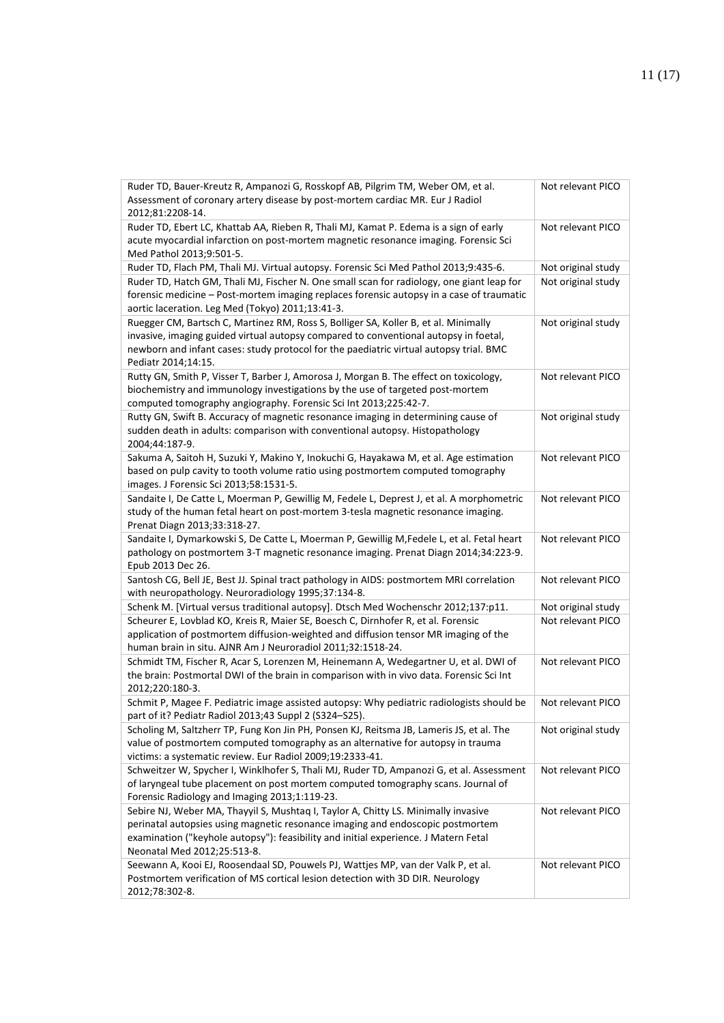| Ruder TD, Bauer-Kreutz R, Ampanozi G, Rosskopf AB, Pilgrim TM, Weber OM, et al.<br>Assessment of coronary artery disease by post-mortem cardiac MR. Eur J Radiol<br>2012;81:2208-14.                                                       | Not relevant PICO  |
|--------------------------------------------------------------------------------------------------------------------------------------------------------------------------------------------------------------------------------------------|--------------------|
| Ruder TD, Ebert LC, Khattab AA, Rieben R, Thali MJ, Kamat P. Edema is a sign of early<br>acute myocardial infarction on post-mortem magnetic resonance imaging. Forensic Sci<br>Med Pathol 2013;9:501-5.                                   | Not relevant PICO  |
| Ruder TD, Flach PM, Thali MJ. Virtual autopsy. Forensic Sci Med Pathol 2013;9:435-6.                                                                                                                                                       | Not original study |
| Ruder TD, Hatch GM, Thali MJ, Fischer N. One small scan for radiology, one giant leap for                                                                                                                                                  | Not original study |
| forensic medicine - Post-mortem imaging replaces forensic autopsy in a case of traumatic<br>aortic laceration. Leg Med (Tokyo) 2011;13:41-3.                                                                                               |                    |
| Ruegger CM, Bartsch C, Martinez RM, Ross S, Bolliger SA, Koller B, et al. Minimally                                                                                                                                                        | Not original study |
| invasive, imaging guided virtual autopsy compared to conventional autopsy in foetal,                                                                                                                                                       |                    |
| newborn and infant cases: study protocol for the paediatric virtual autopsy trial. BMC                                                                                                                                                     |                    |
| Pediatr 2014;14:15.                                                                                                                                                                                                                        |                    |
| Rutty GN, Smith P, Visser T, Barber J, Amorosa J, Morgan B. The effect on toxicology,<br>biochemistry and immunology investigations by the use of targeted post-mortem<br>computed tomography angiography. Forensic Sci Int 2013;225:42-7. | Not relevant PICO  |
| Rutty GN, Swift B. Accuracy of magnetic resonance imaging in determining cause of                                                                                                                                                          | Not original study |
| sudden death in adults: comparison with conventional autopsy. Histopathology<br>2004;44:187-9.                                                                                                                                             |                    |
| Sakuma A, Saitoh H, Suzuki Y, Makino Y, Inokuchi G, Hayakawa M, et al. Age estimation                                                                                                                                                      | Not relevant PICO  |
| based on pulp cavity to tooth volume ratio using postmortem computed tomography                                                                                                                                                            |                    |
| images. J Forensic Sci 2013;58:1531-5.                                                                                                                                                                                                     |                    |
| Sandaite I, De Catte L, Moerman P, Gewillig M, Fedele L, Deprest J, et al. A morphometric                                                                                                                                                  | Not relevant PICO  |
| study of the human fetal heart on post-mortem 3-tesla magnetic resonance imaging.<br>Prenat Diagn 2013;33:318-27.                                                                                                                          |                    |
| Sandaite I, Dymarkowski S, De Catte L, Moerman P, Gewillig M, Fedele L, et al. Fetal heart                                                                                                                                                 | Not relevant PICO  |
| pathology on postmortem 3-T magnetic resonance imaging. Prenat Diagn 2014;34:223-9.<br>Epub 2013 Dec 26.                                                                                                                                   |                    |
| Santosh CG, Bell JE, Best JJ. Spinal tract pathology in AIDS: postmortem MRI correlation                                                                                                                                                   | Not relevant PICO  |
| with neuropathology. Neuroradiology 1995;37:134-8.                                                                                                                                                                                         |                    |
| Schenk M. [Virtual versus traditional autopsy]. Dtsch Med Wochenschr 2012;137:p11.                                                                                                                                                         | Not original study |
| Scheurer E, Lovblad KO, Kreis R, Maier SE, Boesch C, Dirnhofer R, et al. Forensic                                                                                                                                                          | Not relevant PICO  |
| application of postmortem diffusion-weighted and diffusion tensor MR imaging of the<br>human brain in situ. AJNR Am J Neuroradiol 2011;32:1518-24.                                                                                         |                    |
| Schmidt TM, Fischer R, Acar S, Lorenzen M, Heinemann A, Wedegartner U, et al. DWI of                                                                                                                                                       | Not relevant PICO  |
| the brain: Postmortal DWI of the brain in comparison with in vivo data. Forensic Sci Int                                                                                                                                                   |                    |
| 2012;220:180-3.                                                                                                                                                                                                                            |                    |
| Schmit P, Magee F. Pediatric image assisted autopsy: Why pediatric radiologists should be                                                                                                                                                  | Not relevant PICO  |
| part of it? Pediatr Radiol 2013;43 Suppl 2 (S324-S25).                                                                                                                                                                                     |                    |
| Scholing M, Saltzherr TP, Fung Kon Jin PH, Ponsen KJ, Reitsma JB, Lameris JS, et al. The                                                                                                                                                   | Not original study |
| value of postmortem computed tomography as an alternative for autopsy in trauma                                                                                                                                                            |                    |
| victims: a systematic review. Eur Radiol 2009;19:2333-41.                                                                                                                                                                                  |                    |
| Schweitzer W, Spycher I, Winklhofer S, Thali MJ, Ruder TD, Ampanozi G, et al. Assessment                                                                                                                                                   | Not relevant PICO  |
| of laryngeal tube placement on post mortem computed tomography scans. Journal of                                                                                                                                                           |                    |
| Forensic Radiology and Imaging 2013;1:119-23.<br>Sebire NJ, Weber MA, Thayyil S, Mushtaq I, Taylor A, Chitty LS. Minimally invasive                                                                                                        | Not relevant PICO  |
| perinatal autopsies using magnetic resonance imaging and endoscopic postmortem                                                                                                                                                             |                    |
| examination ("keyhole autopsy"): feasibility and initial experience. J Matern Fetal                                                                                                                                                        |                    |
| Neonatal Med 2012;25:513-8.                                                                                                                                                                                                                |                    |
| Seewann A, Kooi EJ, Roosendaal SD, Pouwels PJ, Wattjes MP, van der Valk P, et al.                                                                                                                                                          | Not relevant PICO  |
| Postmortem verification of MS cortical lesion detection with 3D DIR. Neurology                                                                                                                                                             |                    |
| 2012;78:302-8.                                                                                                                                                                                                                             |                    |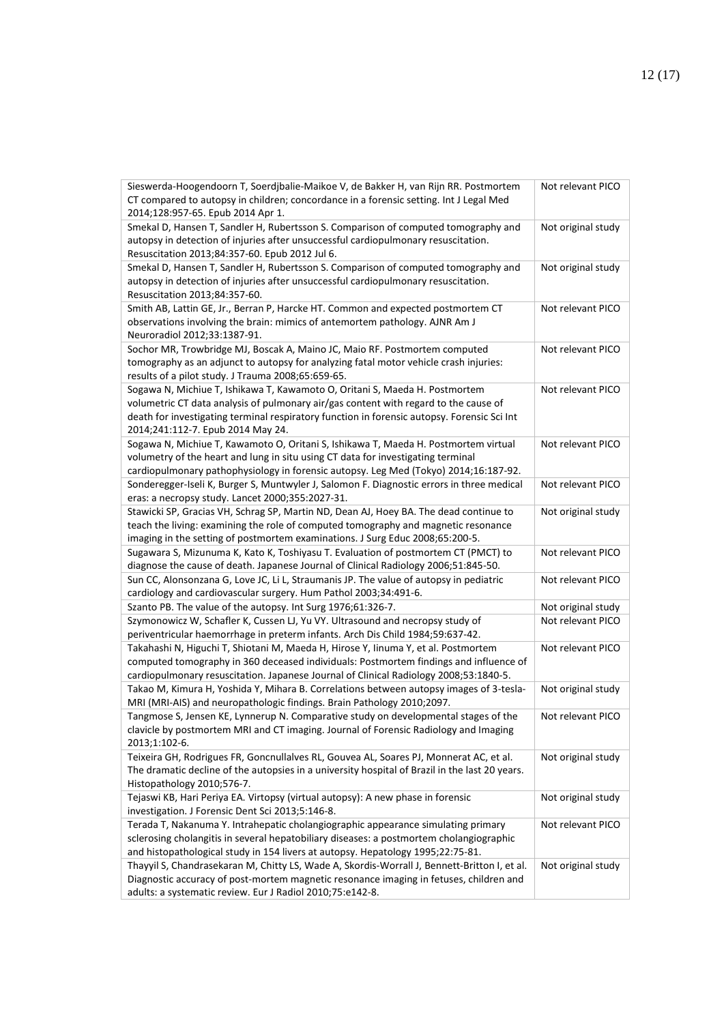| Sieswerda-Hoogendoorn T, Soerdjbalie-Maikoe V, de Bakker H, van Rijn RR. Postmortem<br>CT compared to autopsy in children; concordance in a forensic setting. Int J Legal Med<br>2014;128:957-65. Epub 2014 Apr 1.                                                                                      | Not relevant PICO  |
|---------------------------------------------------------------------------------------------------------------------------------------------------------------------------------------------------------------------------------------------------------------------------------------------------------|--------------------|
| Smekal D, Hansen T, Sandler H, Rubertsson S. Comparison of computed tomography and<br>autopsy in detection of injuries after unsuccessful cardiopulmonary resuscitation.<br>Resuscitation 2013;84:357-60. Epub 2012 Jul 6.                                                                              | Not original study |
| Smekal D, Hansen T, Sandler H, Rubertsson S. Comparison of computed tomography and<br>autopsy in detection of injuries after unsuccessful cardiopulmonary resuscitation.<br>Resuscitation 2013;84:357-60.                                                                                               | Not original study |
| Smith AB, Lattin GE, Jr., Berran P, Harcke HT. Common and expected postmortem CT<br>observations involving the brain: mimics of antemortem pathology. AJNR Am J<br>Neuroradiol 2012;33:1387-91.                                                                                                         | Not relevant PICO  |
| Sochor MR, Trowbridge MJ, Boscak A, Maino JC, Maio RF. Postmortem computed<br>tomography as an adjunct to autopsy for analyzing fatal motor vehicle crash injuries:<br>results of a pilot study. J Trauma 2008;65:659-65.                                                                               | Not relevant PICO  |
| Sogawa N, Michiue T, Ishikawa T, Kawamoto O, Oritani S, Maeda H. Postmortem<br>volumetric CT data analysis of pulmonary air/gas content with regard to the cause of<br>death for investigating terminal respiratory function in forensic autopsy. Forensic Sci Int<br>2014;241:112-7. Epub 2014 May 24. | Not relevant PICO  |
| Sogawa N, Michiue T, Kawamoto O, Oritani S, Ishikawa T, Maeda H. Postmortem virtual<br>volumetry of the heart and lung in situ using CT data for investigating terminal<br>cardiopulmonary pathophysiology in forensic autopsy. Leg Med (Tokyo) 2014;16:187-92.                                         | Not relevant PICO  |
| Sonderegger-Iseli K, Burger S, Muntwyler J, Salomon F. Diagnostic errors in three medical<br>eras: a necropsy study. Lancet 2000;355:2027-31.                                                                                                                                                           | Not relevant PICO  |
| Stawicki SP, Gracias VH, Schrag SP, Martin ND, Dean AJ, Hoey BA. The dead continue to<br>teach the living: examining the role of computed tomography and magnetic resonance<br>imaging in the setting of postmortem examinations. J Surg Educ 2008;65:200-5.                                            | Not original study |
| Sugawara S, Mizunuma K, Kato K, Toshiyasu T. Evaluation of postmortem CT (PMCT) to<br>diagnose the cause of death. Japanese Journal of Clinical Radiology 2006;51:845-50.                                                                                                                               | Not relevant PICO  |
| Sun CC, Alonsonzana G, Love JC, Li L, Straumanis JP. The value of autopsy in pediatric<br>cardiology and cardiovascular surgery. Hum Pathol 2003;34:491-6.                                                                                                                                              | Not relevant PICO  |
| Szanto PB. The value of the autopsy. Int Surg 1976;61:326-7.                                                                                                                                                                                                                                            | Not original study |
| Szymonowicz W, Schafler K, Cussen LJ, Yu VY. Ultrasound and necropsy study of<br>periventricular haemorrhage in preterm infants. Arch Dis Child 1984;59:637-42.                                                                                                                                         | Not relevant PICO  |
| Takahashi N, Higuchi T, Shiotani M, Maeda H, Hirose Y, Iinuma Y, et al. Postmortem<br>computed tomography in 360 deceased individuals: Postmortem findings and influence of<br>cardiopulmonary resuscitation. Japanese Journal of Clinical Radiology 2008;53:1840-5.                                    | Not relevant PICO  |
| Takao M, Kimura H, Yoshida Y, Mihara B. Correlations between autopsy images of 3-tesla-<br>MRI (MRI-AIS) and neuropathologic findings. Brain Pathology 2010;2097.                                                                                                                                       | Not original study |
| Tangmose S, Jensen KE, Lynnerup N. Comparative study on developmental stages of the<br>clavicle by postmortem MRI and CT imaging. Journal of Forensic Radiology and Imaging<br>2013;1:102-6.                                                                                                            | Not relevant PICO  |
| Teixeira GH, Rodrigues FR, Goncnullalves RL, Gouvea AL, Soares PJ, Monnerat AC, et al.<br>The dramatic decline of the autopsies in a university hospital of Brazil in the last 20 years.<br>Histopathology 2010;576-7.                                                                                  | Not original study |
| Tejaswi KB, Hari Periya EA. Virtopsy (virtual autopsy): A new phase in forensic<br>investigation. J Forensic Dent Sci 2013;5:146-8.                                                                                                                                                                     | Not original study |
| Terada T, Nakanuma Y. Intrahepatic cholangiographic appearance simulating primary<br>sclerosing cholangitis in several hepatobiliary diseases: a postmortem cholangiographic<br>and histopathological study in 154 livers at autopsy. Hepatology 1995;22:75-81.                                         | Not relevant PICO  |
| Thayyil S, Chandrasekaran M, Chitty LS, Wade A, Skordis-Worrall J, Bennett-Britton I, et al.<br>Diagnostic accuracy of post-mortem magnetic resonance imaging in fetuses, children and<br>adults: a systematic review. Eur J Radiol 2010;75:e142-8.                                                     | Not original study |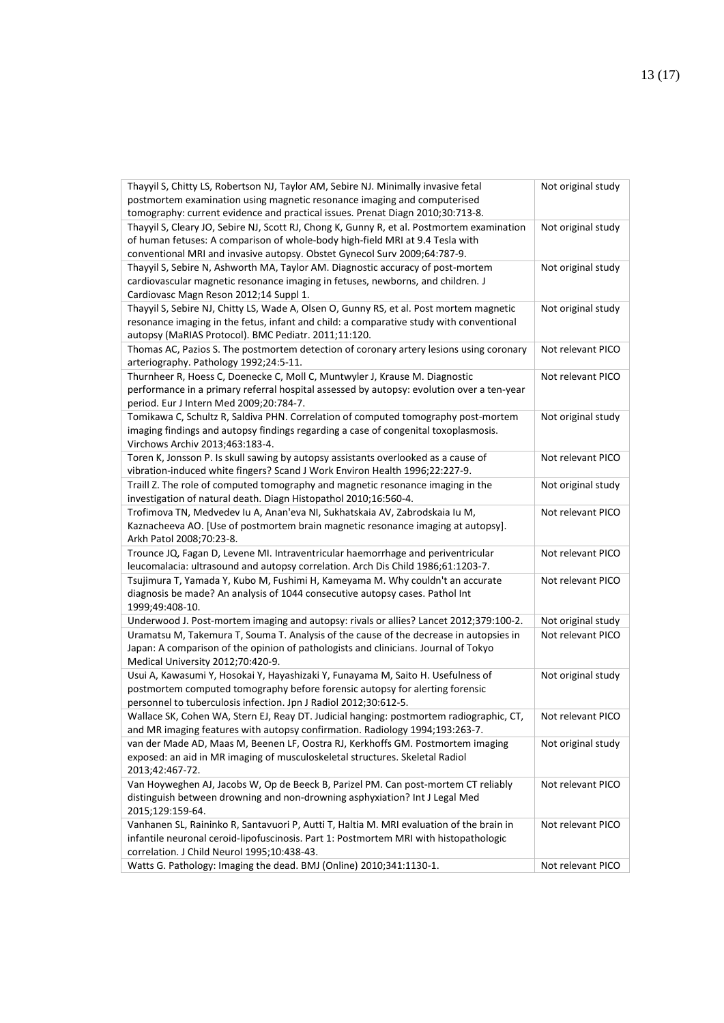| Thayyil S, Chitty LS, Robertson NJ, Taylor AM, Sebire NJ. Minimally invasive fetal<br>postmortem examination using magnetic resonance imaging and computerised               | Not original study |
|------------------------------------------------------------------------------------------------------------------------------------------------------------------------------|--------------------|
| tomography: current evidence and practical issues. Prenat Diagn 2010;30:713-8.<br>Thayyil S, Cleary JO, Sebire NJ, Scott RJ, Chong K, Gunny R, et al. Postmortem examination |                    |
| of human fetuses: A comparison of whole-body high-field MRI at 9.4 Tesla with                                                                                                | Not original study |
| conventional MRI and invasive autopsy. Obstet Gynecol Surv 2009;64:787-9.                                                                                                    |                    |
| Thayyil S, Sebire N, Ashworth MA, Taylor AM. Diagnostic accuracy of post-mortem                                                                                              | Not original study |
| cardiovascular magnetic resonance imaging in fetuses, newborns, and children. J                                                                                              |                    |
| Cardiovasc Magn Reson 2012;14 Suppl 1.                                                                                                                                       |                    |
| Thayyil S, Sebire NJ, Chitty LS, Wade A, Olsen O, Gunny RS, et al. Post mortem magnetic                                                                                      | Not original study |
| resonance imaging in the fetus, infant and child: a comparative study with conventional                                                                                      |                    |
| autopsy (MaRIAS Protocol). BMC Pediatr. 2011;11:120.                                                                                                                         |                    |
| Thomas AC, Pazios S. The postmortem detection of coronary artery lesions using coronary                                                                                      | Not relevant PICO  |
| arteriography. Pathology 1992;24:5-11.                                                                                                                                       |                    |
| Thurnheer R, Hoess C, Doenecke C, Moll C, Muntwyler J, Krause M. Diagnostic                                                                                                  | Not relevant PICO  |
| performance in a primary referral hospital assessed by autopsy: evolution over a ten-year                                                                                    |                    |
| period. Eur J Intern Med 2009;20:784-7.                                                                                                                                      |                    |
| Tomikawa C, Schultz R, Saldiva PHN. Correlation of computed tomography post-mortem                                                                                           | Not original study |
| imaging findings and autopsy findings regarding a case of congenital toxoplasmosis.<br>Virchows Archiv 2013;463:183-4.                                                       |                    |
| Toren K, Jonsson P. Is skull sawing by autopsy assistants overlooked as a cause of                                                                                           | Not relevant PICO  |
| vibration-induced white fingers? Scand J Work Environ Health 1996;22:227-9.                                                                                                  |                    |
| Traill Z. The role of computed tomography and magnetic resonance imaging in the                                                                                              | Not original study |
| investigation of natural death. Diagn Histopathol 2010;16:560-4.                                                                                                             |                    |
| Trofimova TN, Medvedev Iu A, Anan'eva NI, Sukhatskaia AV, Zabrodskaia Iu M,                                                                                                  | Not relevant PICO  |
| Kaznacheeva AO. [Use of postmortem brain magnetic resonance imaging at autopsy].                                                                                             |                    |
| Arkh Patol 2008;70:23-8.                                                                                                                                                     |                    |
| Trounce JQ, Fagan D, Levene MI. Intraventricular haemorrhage and periventricular                                                                                             | Not relevant PICO  |
| leucomalacia: ultrasound and autopsy correlation. Arch Dis Child 1986;61:1203-7.                                                                                             |                    |
| Tsujimura T, Yamada Y, Kubo M, Fushimi H, Kameyama M. Why couldn't an accurate                                                                                               | Not relevant PICO  |
| diagnosis be made? An analysis of 1044 consecutive autopsy cases. Pathol Int                                                                                                 |                    |
| 1999;49:408-10.                                                                                                                                                              |                    |
| Underwood J. Post-mortem imaging and autopsy: rivals or allies? Lancet 2012;379:100-2.                                                                                       | Not original study |
| Uramatsu M, Takemura T, Souma T. Analysis of the cause of the decrease in autopsies in                                                                                       | Not relevant PICO  |
| Japan: A comparison of the opinion of pathologists and clinicians. Journal of Tokyo                                                                                          |                    |
| Medical University 2012;70:420-9.                                                                                                                                            |                    |
| Usui A, Kawasumi Y, Hosokai Y, Hayashizaki Y, Funayama M, Saito H. Usefulness of<br>postmortem computed tomography before forensic autopsy for alerting forensic             | Not original study |
| personnel to tuberculosis infection. Jpn J Radiol 2012;30:612-5.                                                                                                             |                    |
| Wallace SK, Cohen WA, Stern EJ, Reay DT. Judicial hanging: postmortem radiographic, CT,                                                                                      | Not relevant PICO  |
| and MR imaging features with autopsy confirmation. Radiology 1994;193:263-7.                                                                                                 |                    |
| van der Made AD, Maas M, Beenen LF, Oostra RJ, Kerkhoffs GM. Postmortem imaging                                                                                              | Not original study |
| exposed: an aid in MR imaging of musculoskeletal structures. Skeletal Radiol                                                                                                 |                    |
| 2013;42:467-72.                                                                                                                                                              |                    |
| Van Hoyweghen AJ, Jacobs W, Op de Beeck B, Parizel PM. Can post-mortem CT reliably                                                                                           | Not relevant PICO  |
| distinguish between drowning and non-drowning asphyxiation? Int J Legal Med                                                                                                  |                    |
| 2015;129:159-64.                                                                                                                                                             |                    |
| Vanhanen SL, Raininko R, Santavuori P, Autti T, Haltia M. MRI evaluation of the brain in                                                                                     | Not relevant PICO  |
| infantile neuronal ceroid-lipofuscinosis. Part 1: Postmortem MRI with histopathologic                                                                                        |                    |
| correlation. J Child Neurol 1995;10:438-43.                                                                                                                                  |                    |
| Watts G. Pathology: Imaging the dead. BMJ (Online) 2010;341:1130-1.                                                                                                          | Not relevant PICO  |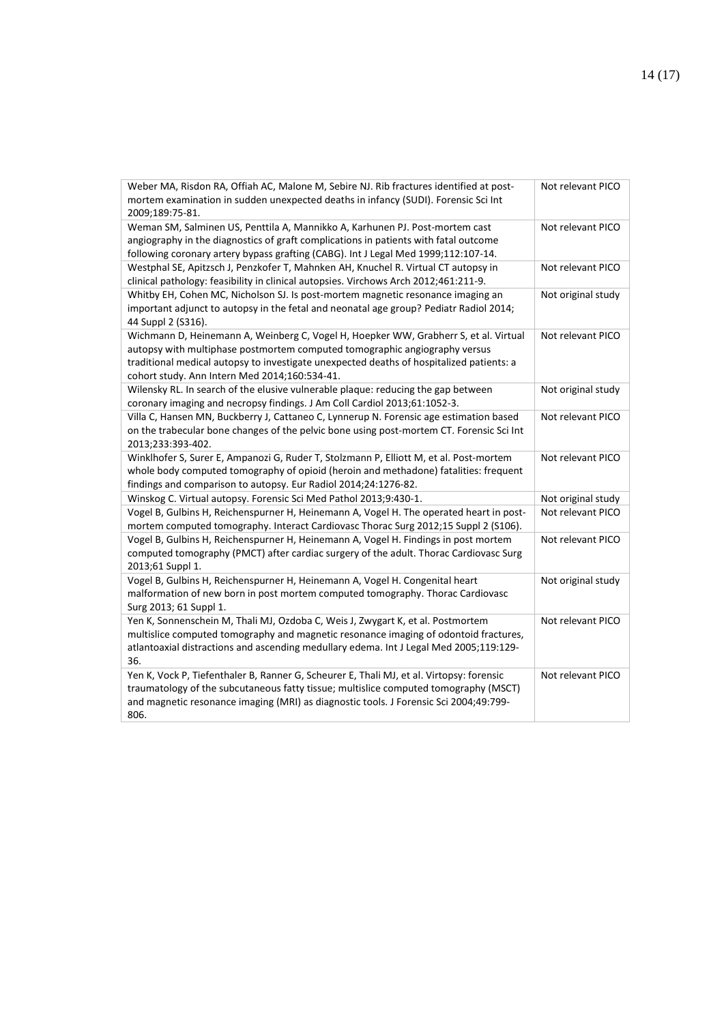| Weber MA, Risdon RA, Offiah AC, Malone M, Sebire NJ. Rib fractures identified at post-<br>mortem examination in sudden unexpected deaths in infancy (SUDI). Forensic Sci Int<br>2009;189:75-81.                                                                                                                 | Not relevant PICO  |
|-----------------------------------------------------------------------------------------------------------------------------------------------------------------------------------------------------------------------------------------------------------------------------------------------------------------|--------------------|
| Weman SM, Salminen US, Penttila A, Mannikko A, Karhunen PJ. Post-mortem cast<br>angiography in the diagnostics of graft complications in patients with fatal outcome<br>following coronary artery bypass grafting (CABG). Int J Legal Med 1999;112:107-14.                                                      | Not relevant PICO  |
| Westphal SE, Apitzsch J, Penzkofer T, Mahnken AH, Knuchel R. Virtual CT autopsy in<br>clinical pathology: feasibility in clinical autopsies. Virchows Arch 2012;461:211-9.                                                                                                                                      | Not relevant PICO  |
| Whitby EH, Cohen MC, Nicholson SJ. Is post-mortem magnetic resonance imaging an<br>important adjunct to autopsy in the fetal and neonatal age group? Pediatr Radiol 2014;<br>44 Suppl 2 (S316).                                                                                                                 | Not original study |
| Wichmann D, Heinemann A, Weinberg C, Vogel H, Hoepker WW, Grabherr S, et al. Virtual<br>autopsy with multiphase postmortem computed tomographic angiography versus<br>traditional medical autopsy to investigate unexpected deaths of hospitalized patients: a<br>cohort study. Ann Intern Med 2014;160:534-41. | Not relevant PICO  |
| Wilensky RL. In search of the elusive vulnerable plaque: reducing the gap between<br>coronary imaging and necropsy findings. J Am Coll Cardiol 2013;61:1052-3.                                                                                                                                                  | Not original study |
| Villa C, Hansen MN, Buckberry J, Cattaneo C, Lynnerup N. Forensic age estimation based<br>on the trabecular bone changes of the pelvic bone using post-mortem CT. Forensic Sci Int<br>2013;233:393-402.                                                                                                         | Not relevant PICO  |
| Winklhofer S, Surer E, Ampanozi G, Ruder T, Stolzmann P, Elliott M, et al. Post-mortem<br>whole body computed tomography of opioid (heroin and methadone) fatalities: frequent<br>findings and comparison to autopsy. Eur Radiol 2014;24:1276-82.                                                               | Not relevant PICO  |
| Winskog C. Virtual autopsy. Forensic Sci Med Pathol 2013;9:430-1.                                                                                                                                                                                                                                               | Not original study |
| Vogel B, Gulbins H, Reichenspurner H, Heinemann A, Vogel H. The operated heart in post-<br>mortem computed tomography. Interact Cardiovasc Thorac Surg 2012;15 Suppl 2 (S106).                                                                                                                                  | Not relevant PICO  |
| Vogel B, Gulbins H, Reichenspurner H, Heinemann A, Vogel H. Findings in post mortem<br>computed tomography (PMCT) after cardiac surgery of the adult. Thorac Cardiovasc Surg<br>2013;61 Suppl 1.                                                                                                                | Not relevant PICO  |
| Vogel B, Gulbins H, Reichenspurner H, Heinemann A, Vogel H. Congenital heart<br>malformation of new born in post mortem computed tomography. Thorac Cardiovasc<br>Surg 2013; 61 Suppl 1.                                                                                                                        | Not original study |
| Yen K, Sonnenschein M, Thali MJ, Ozdoba C, Weis J, Zwygart K, et al. Postmortem<br>multislice computed tomography and magnetic resonance imaging of odontoid fractures,<br>atlantoaxial distractions and ascending medullary edema. Int J Legal Med 2005;119:129-<br>36.                                        | Not relevant PICO  |
| Yen K, Vock P, Tiefenthaler B, Ranner G, Scheurer E, Thali MJ, et al. Virtopsy: forensic<br>traumatology of the subcutaneous fatty tissue; multislice computed tomography (MSCT)<br>and magnetic resonance imaging (MRI) as diagnostic tools. J Forensic Sci 2004;49:799-<br>806.                               | Not relevant PICO  |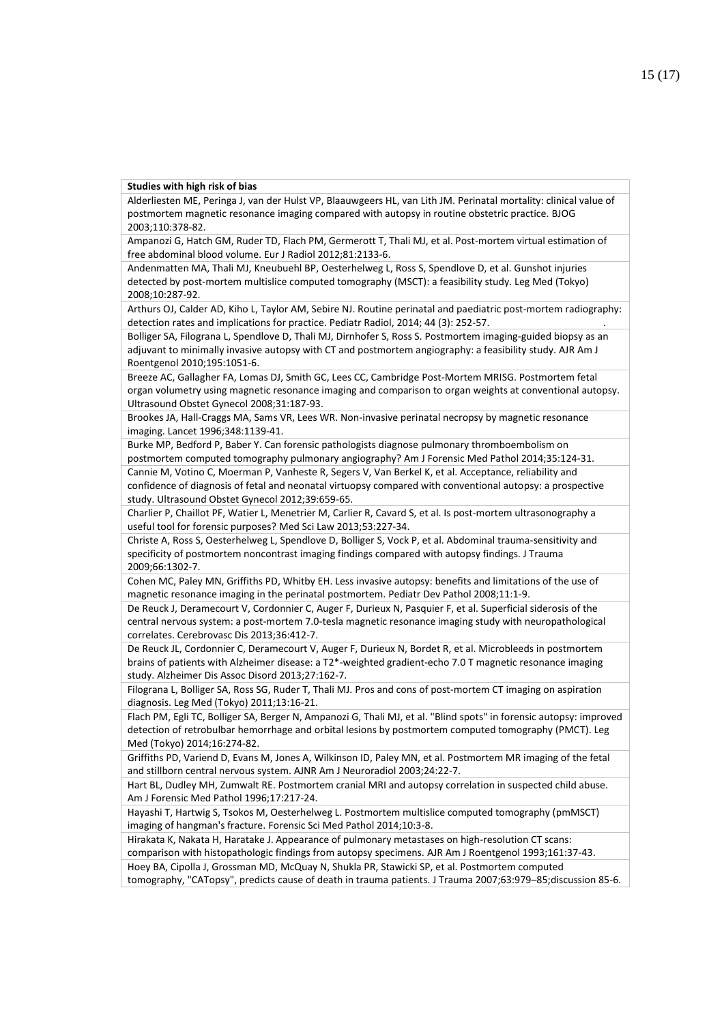**Studies with high risk of bias**

Alderliesten ME, Peringa J, van der Hulst VP, Blaauwgeers HL, van Lith JM. Perinatal mortality: clinical value of postmortem magnetic resonance imaging compared with autopsy in routine obstetric practice. BJOG 2003;110:378-82.

Ampanozi G, Hatch GM, Ruder TD, Flach PM, Germerott T, Thali MJ, et al. Post-mortem virtual estimation of free abdominal blood volume. Eur J Radiol 2012;81:2133-6.

Andenmatten MA, Thali MJ, Kneubuehl BP, Oesterhelweg L, Ross S, Spendlove D, et al. Gunshot injuries detected by post-mortem multislice computed tomography (MSCT): a feasibility study. Leg Med (Tokyo) 2008;10:287-92.

Arthurs OJ, Calder AD, Kiho L, Taylor AM, Sebire NJ. Routine perinatal and paediatric post-mortem radiography: detection rates and implications for practice. Pediatr Radiol, 2014; 44 (3): 252-57. .

Bolliger SA, Filograna L, Spendlove D, Thali MJ, Dirnhofer S, Ross S. Postmortem imaging-guided biopsy as an adjuvant to minimally invasive autopsy with CT and postmortem angiography: a feasibility study. AJR Am J Roentgenol 2010;195:1051-6.

Breeze AC, Gallagher FA, Lomas DJ, Smith GC, Lees CC, Cambridge Post-Mortem MRISG. Postmortem fetal organ volumetry using magnetic resonance imaging and comparison to organ weights at conventional autopsy. Ultrasound Obstet Gynecol 2008;31:187-93.

Brookes JA, Hall-Craggs MA, Sams VR, Lees WR. Non-invasive perinatal necropsy by magnetic resonance imaging. Lancet 1996;348:1139-41.

Burke MP, Bedford P, Baber Y. Can forensic pathologists diagnose pulmonary thromboembolism on postmortem computed tomography pulmonary angiography? Am J Forensic Med Pathol 2014;35:124-31.

Cannie M, Votino C, Moerman P, Vanheste R, Segers V, Van Berkel K, et al. Acceptance, reliability and confidence of diagnosis of fetal and neonatal virtuopsy compared with conventional autopsy: a prospective study. Ultrasound Obstet Gynecol 2012;39:659-65.

Charlier P, Chaillot PF, Watier L, Menetrier M, Carlier R, Cavard S, et al. Is post-mortem ultrasonography a useful tool for forensic purposes? Med Sci Law 2013;53:227-34.

Christe A, Ross S, Oesterhelweg L, Spendlove D, Bolliger S, Vock P, et al. Abdominal trauma-sensitivity and specificity of postmortem noncontrast imaging findings compared with autopsy findings. J Trauma 2009;66:1302-7.

Cohen MC, Paley MN, Griffiths PD, Whitby EH. Less invasive autopsy: benefits and limitations of the use of magnetic resonance imaging in the perinatal postmortem. Pediatr Dev Pathol 2008;11:1-9.

De Reuck J, Deramecourt V, Cordonnier C, Auger F, Durieux N, Pasquier F, et al. Superficial siderosis of the central nervous system: a post-mortem 7.0-tesla magnetic resonance imaging study with neuropathological correlates. Cerebrovasc Dis 2013;36:412-7.

De Reuck JL, Cordonnier C, Deramecourt V, Auger F, Durieux N, Bordet R, et al. Microbleeds in postmortem brains of patients with Alzheimer disease: a T2\*-weighted gradient-echo 7.0 T magnetic resonance imaging study. Alzheimer Dis Assoc Disord 2013;27:162-7.

Filograna L, Bolliger SA, Ross SG, Ruder T, Thali MJ. Pros and cons of post-mortem CT imaging on aspiration diagnosis. Leg Med (Tokyo) 2011;13:16-21.

Flach PM, Egli TC, Bolliger SA, Berger N, Ampanozi G, Thali MJ, et al. "Blind spots" in forensic autopsy: improved detection of retrobulbar hemorrhage and orbital lesions by postmortem computed tomography (PMCT). Leg Med (Tokyo) 2014;16:274-82.

Griffiths PD, Variend D, Evans M, Jones A, Wilkinson ID, Paley MN, et al. Postmortem MR imaging of the fetal and stillborn central nervous system. AJNR Am J Neuroradiol 2003;24:22-7.

Hart BL, Dudley MH, Zumwalt RE. Postmortem cranial MRI and autopsy correlation in suspected child abuse. Am J Forensic Med Pathol 1996;17:217-24.

Hayashi T, Hartwig S, Tsokos M, Oesterhelweg L. Postmortem multislice computed tomography (pmMSCT) imaging of hangman's fracture. Forensic Sci Med Pathol 2014;10:3-8.

Hirakata K, Nakata H, Haratake J. Appearance of pulmonary metastases on high-resolution CT scans: comparison with histopathologic findings from autopsy specimens. AJR Am J Roentgenol 1993;161:37-43.

Hoey BA, Cipolla J, Grossman MD, McQuay N, Shukla PR, Stawicki SP, et al. Postmortem computed

tomography, "CATopsy", predicts cause of death in trauma patients. J Trauma 2007;63:979–85;discussion 85-6.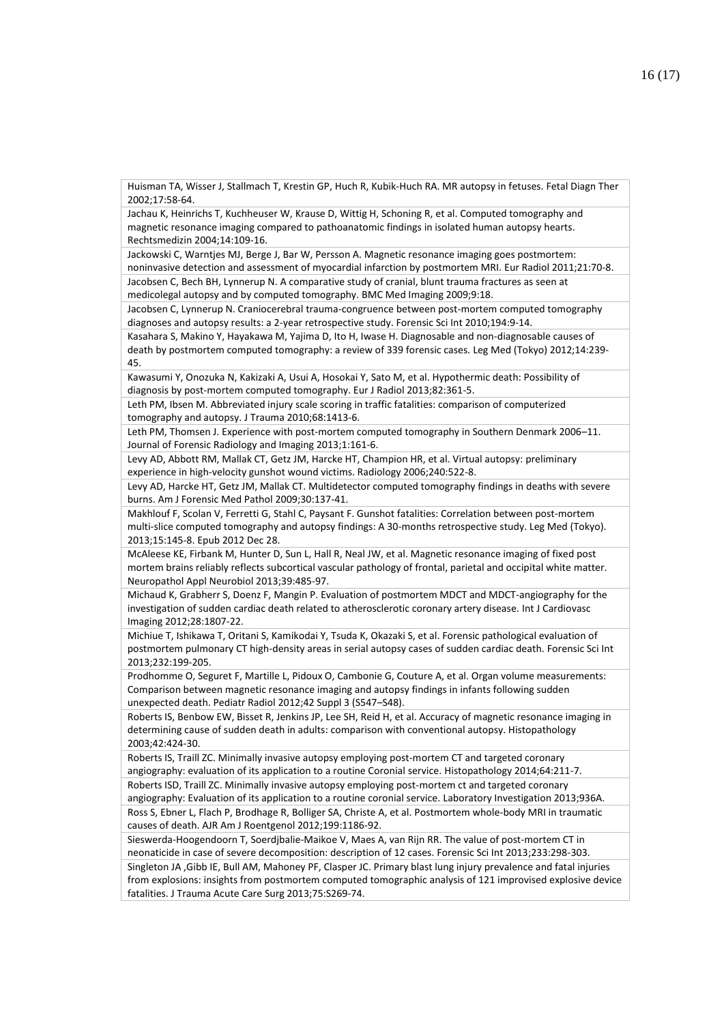Huisman TA, Wisser J, Stallmach T, Krestin GP, Huch R, Kubik-Huch RA. MR autopsy in fetuses. Fetal Diagn Ther 2002;17:58-64.

Jachau K, Heinrichs T, Kuchheuser W, Krause D, Wittig H, Schoning R, et al. Computed tomography and magnetic resonance imaging compared to pathoanatomic findings in isolated human autopsy hearts. Rechtsmedizin 2004;14:109-16.

Jackowski C, Warntjes MJ, Berge J, Bar W, Persson A. Magnetic resonance imaging goes postmortem: noninvasive detection and assessment of myocardial infarction by postmortem MRI. Eur Radiol 2011;21:70-8. Jacobsen C, Bech BH, Lynnerup N. A comparative study of cranial, blunt trauma fractures as seen at medicolegal autopsy and by computed tomography. BMC Med Imaging 2009;9:18.

Jacobsen C, Lynnerup N. Craniocerebral trauma-congruence between post-mortem computed tomography diagnoses and autopsy results: a 2-year retrospective study. Forensic Sci Int 2010;194:9-14.

Kasahara S, Makino Y, Hayakawa M, Yajima D, Ito H, Iwase H. Diagnosable and non-diagnosable causes of death by postmortem computed tomography: a review of 339 forensic cases. Leg Med (Tokyo) 2012;14:239- 45.

Kawasumi Y, Onozuka N, Kakizaki A, Usui A, Hosokai Y, Sato M, et al. Hypothermic death: Possibility of diagnosis by post-mortem computed tomography. Eur J Radiol 2013;82:361-5.

Leth PM, Ibsen M. Abbreviated injury scale scoring in traffic fatalities: comparison of computerized tomography and autopsy. J Trauma 2010;68:1413-6.

Leth PM, Thomsen J. Experience with post-mortem computed tomography in Southern Denmark 2006–11. Journal of Forensic Radiology and Imaging 2013;1:161-6.

Levy AD, Abbott RM, Mallak CT, Getz JM, Harcke HT, Champion HR, et al. Virtual autopsy: preliminary experience in high-velocity gunshot wound victims. Radiology 2006;240:522-8.

Levy AD, Harcke HT, Getz JM, Mallak CT. Multidetector computed tomography findings in deaths with severe burns. Am J Forensic Med Pathol 2009;30:137-41.

Makhlouf F, Scolan V, Ferretti G, Stahl C, Paysant F. Gunshot fatalities: Correlation between post-mortem multi-slice computed tomography and autopsy findings: A 30-months retrospective study. Leg Med (Tokyo). 2013;15:145-8. Epub 2012 Dec 28.

McAleese KE, Firbank M, Hunter D, Sun L, Hall R, Neal JW, et al. Magnetic resonance imaging of fixed post mortem brains reliably reflects subcortical vascular pathology of frontal, parietal and occipital white matter. Neuropathol Appl Neurobiol 2013;39:485-97.

Michaud K, Grabherr S, Doenz F, Mangin P. Evaluation of postmortem MDCT and MDCT-angiography for the investigation of sudden cardiac death related to atherosclerotic coronary artery disease. Int J Cardiovasc Imaging 2012;28:1807-22.

Michiue T, Ishikawa T, Oritani S, Kamikodai Y, Tsuda K, Okazaki S, et al. Forensic pathological evaluation of postmortem pulmonary CT high-density areas in serial autopsy cases of sudden cardiac death. Forensic Sci Int 2013;232:199-205.

Prodhomme O, Seguret F, Martille L, Pidoux O, Cambonie G, Couture A, et al. Organ volume measurements: Comparison between magnetic resonance imaging and autopsy findings in infants following sudden unexpected death. Pediatr Radiol 2012;42 Suppl 3 (S547–S48).

Roberts IS, Benbow EW, Bisset R, Jenkins JP, Lee SH, Reid H, et al. Accuracy of magnetic resonance imaging in determining cause of sudden death in adults: comparison with conventional autopsy. Histopathology 2003;42:424-30.

Roberts IS, Traill ZC. Minimally invasive autopsy employing post-mortem CT and targeted coronary angiography: evaluation of its application to a routine Coronial service. Histopathology 2014;64:211-7. Roberts ISD, Traill ZC. Minimally invasive autopsy employing post-mortem ct and targeted coronary angiography: Evaluation of its application to a routine coronial service. Laboratory Investigation 2013;936A.

Ross S, Ebner L, Flach P, Brodhage R, Bolliger SA, Christe A, et al. Postmortem whole-body MRI in traumatic causes of death. AJR Am J Roentgenol 2012;199:1186-92.

Sieswerda-Hoogendoorn T, Soerdjbalie-Maikoe V, Maes A, van Rijn RR. The value of post-mortem CT in neonaticide in case of severe decomposition: description of 12 cases. Forensic Sci Int 2013;233:298-303.

Singleton JA ,Gibb IE, Bull AM, Mahoney PF, Clasper JC. Primary blast lung injury prevalence and fatal injuries from explosions: insights from postmortem computed tomographic analysis of 121 improvised explosive device fatalities. J Trauma Acute Care Surg 2013;75:S269-74.